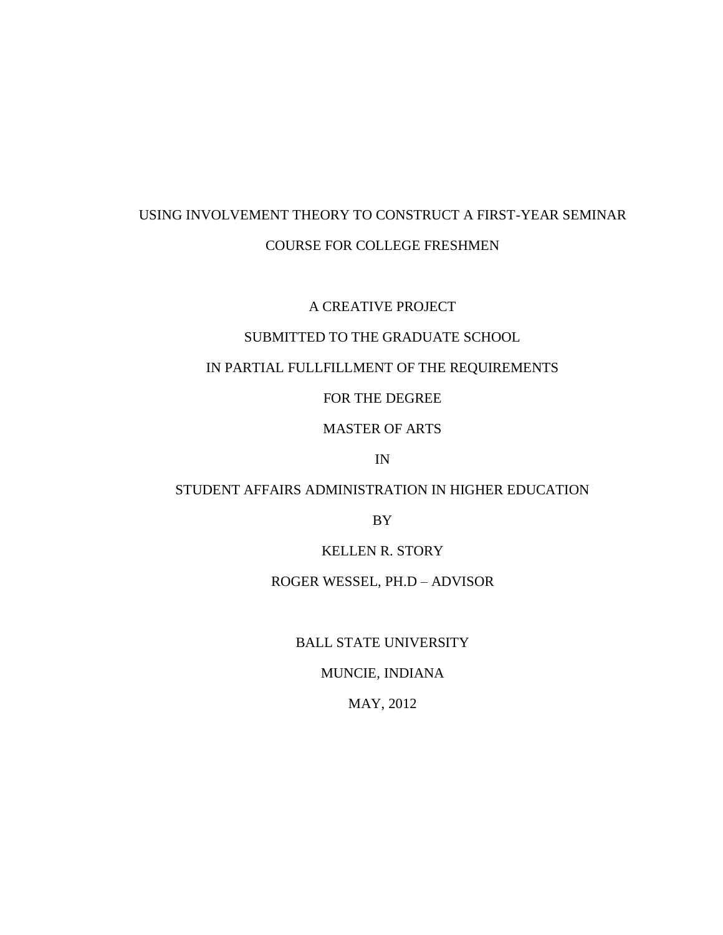# USING INVOLVEMENT THEORY TO CONSTRUCT A FIRST-YEAR SEMINAR COURSE FOR COLLEGE FRESHMEN

#### A CREATIVE PROJECT

## SUBMITTED TO THE GRADUATE SCHOOL

#### IN PARTIAL FULLFILLMENT OF THE REQUIREMENTS

# FOR THE DEGREE

# MASTER OF ARTS

#### IN

## STUDENT AFFAIRS ADMINISTRATION IN HIGHER EDUCATION

BY

### KELLEN R. STORY

## ROGER WESSEL, PH.D – ADVISOR

### BALL STATE UNIVERSITY

## MUNCIE, INDIANA

## MAY, 2012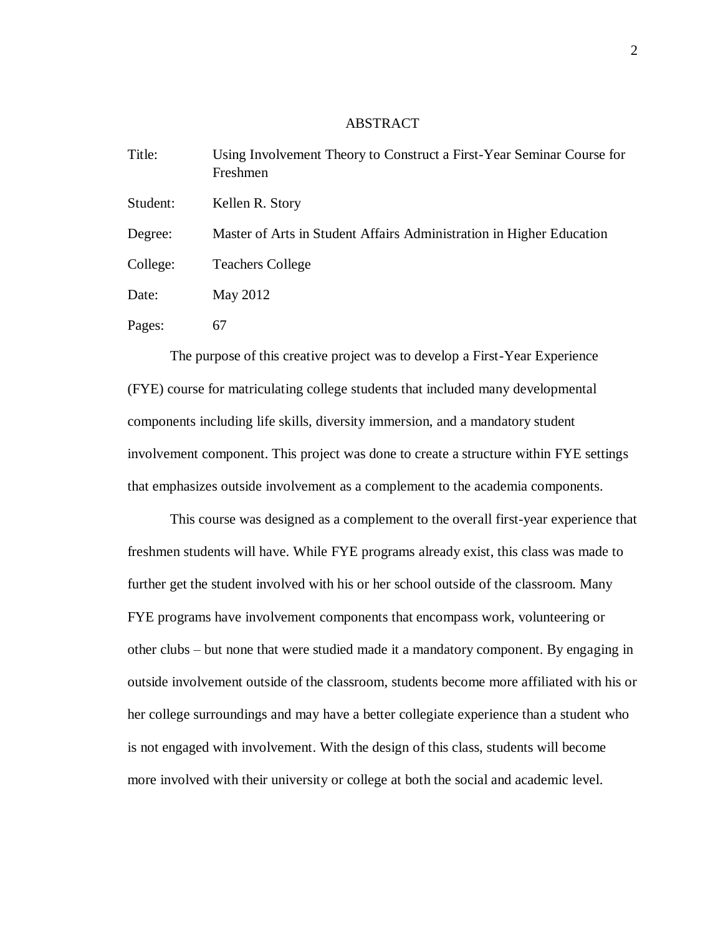#### ABSTRACT

| Title:   | Using Involvement Theory to Construct a First-Year Seminar Course for<br>Freshmen |
|----------|-----------------------------------------------------------------------------------|
| Student: | Kellen R. Story                                                                   |
| Degree:  | Master of Arts in Student Affairs Administration in Higher Education              |
| College: | <b>Teachers College</b>                                                           |
| Date:    | May 2012                                                                          |
| Pages:   | 67                                                                                |

The purpose of this creative project was to develop a First-Year Experience (FYE) course for matriculating college students that included many developmental components including life skills, diversity immersion, and a mandatory student involvement component. This project was done to create a structure within FYE settings that emphasizes outside involvement as a complement to the academia components.

This course was designed as a complement to the overall first-year experience that freshmen students will have. While FYE programs already exist, this class was made to further get the student involved with his or her school outside of the classroom. Many FYE programs have involvement components that encompass work, volunteering or other clubs – but none that were studied made it a mandatory component. By engaging in outside involvement outside of the classroom, students become more affiliated with his or her college surroundings and may have a better collegiate experience than a student who is not engaged with involvement. With the design of this class, students will become more involved with their university or college at both the social and academic level.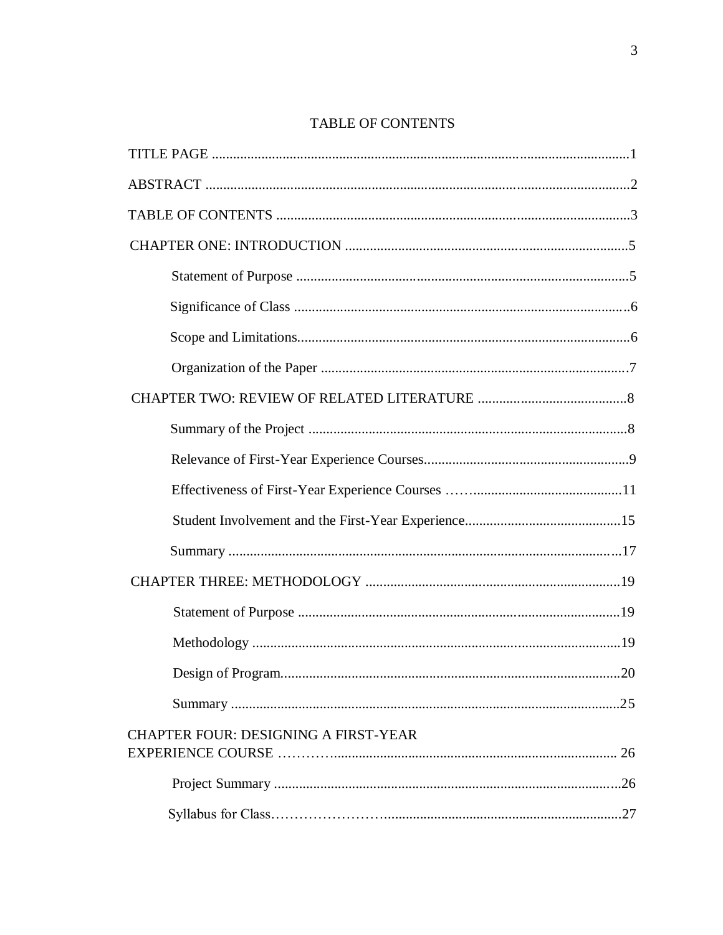# TABLE OF CONTENTS

| <b>CHAPTER FOUR: DESIGNING A FIRST-YEAR</b> |  |
|---------------------------------------------|--|
|                                             |  |
|                                             |  |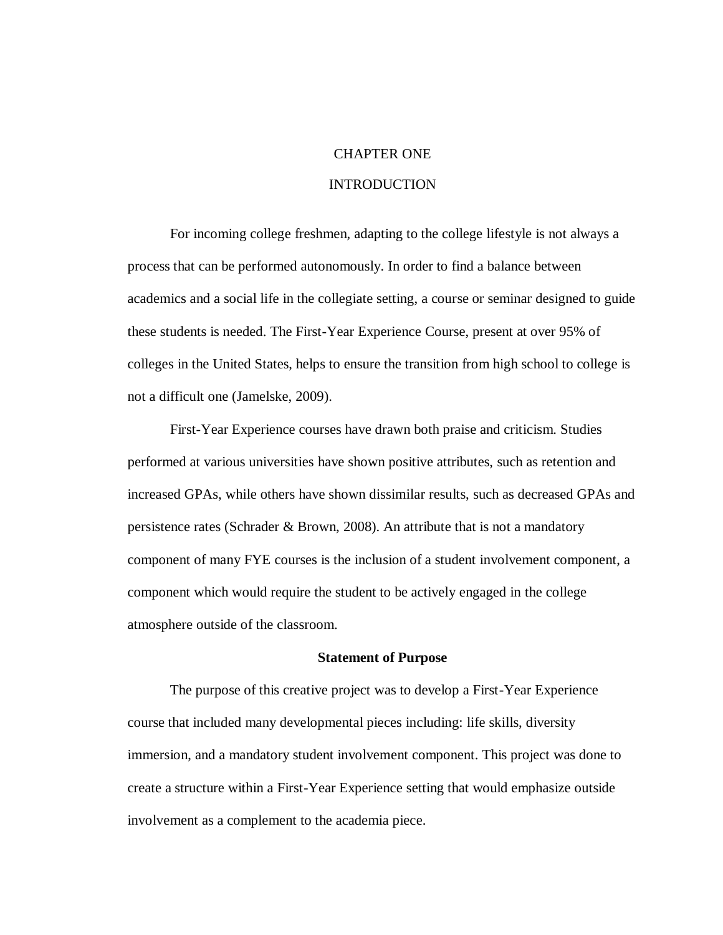#### CHAPTER ONE

#### INTRODUCTION

For incoming college freshmen, adapting to the college lifestyle is not always a process that can be performed autonomously. In order to find a balance between academics and a social life in the collegiate setting, a course or seminar designed to guide these students is needed. The First-Year Experience Course, present at over 95% of colleges in the United States, helps to ensure the transition from high school to college is not a difficult one (Jamelske, 2009).

First-Year Experience courses have drawn both praise and criticism. Studies performed at various universities have shown positive attributes, such as retention and increased GPAs, while others have shown dissimilar results, such as decreased GPAs and persistence rates (Schrader & Brown, 2008). An attribute that is not a mandatory component of many FYE courses is the inclusion of a student involvement component, a component which would require the student to be actively engaged in the college atmosphere outside of the classroom.

#### **Statement of Purpose**

The purpose of this creative project was to develop a First-Year Experience course that included many developmental pieces including: life skills, diversity immersion, and a mandatory student involvement component. This project was done to create a structure within a First-Year Experience setting that would emphasize outside involvement as a complement to the academia piece.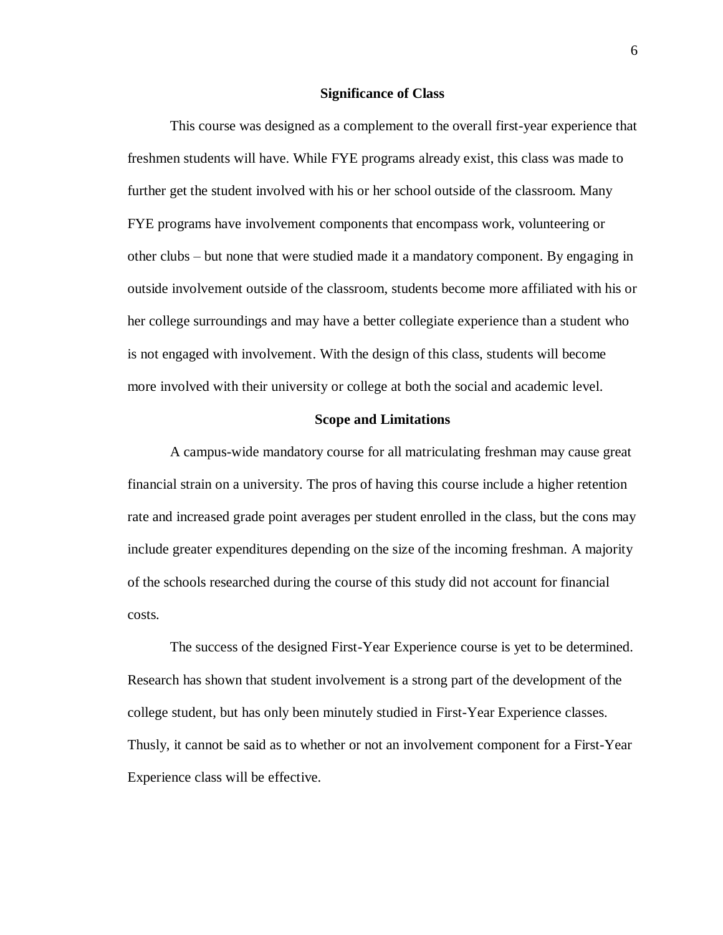#### **Significance of Class**

This course was designed as a complement to the overall first-year experience that freshmen students will have. While FYE programs already exist, this class was made to further get the student involved with his or her school outside of the classroom. Many FYE programs have involvement components that encompass work, volunteering or other clubs – but none that were studied made it a mandatory component. By engaging in outside involvement outside of the classroom, students become more affiliated with his or her college surroundings and may have a better collegiate experience than a student who is not engaged with involvement. With the design of this class, students will become more involved with their university or college at both the social and academic level.

#### **Scope and Limitations**

A campus-wide mandatory course for all matriculating freshman may cause great financial strain on a university. The pros of having this course include a higher retention rate and increased grade point averages per student enrolled in the class, but the cons may include greater expenditures depending on the size of the incoming freshman. A majority of the schools researched during the course of this study did not account for financial costs.

The success of the designed First-Year Experience course is yet to be determined. Research has shown that student involvement is a strong part of the development of the college student, but has only been minutely studied in First-Year Experience classes. Thusly, it cannot be said as to whether or not an involvement component for a First-Year Experience class will be effective.

6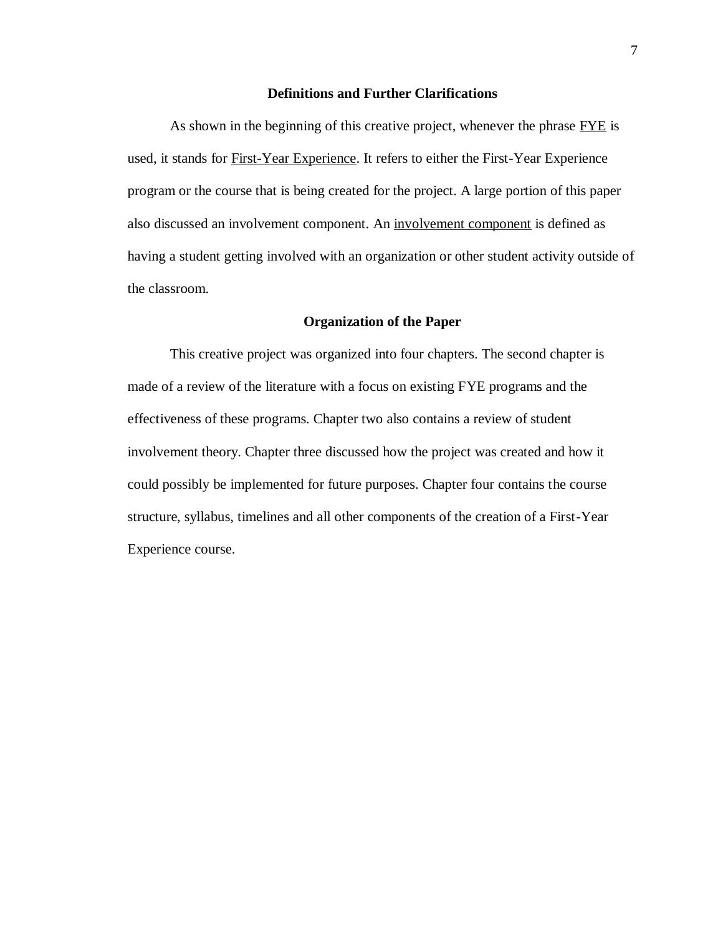#### **Definitions and Further Clarifications**

As shown in the beginning of this creative project, whenever the phrase FYE is used, it stands for First-Year Experience. It refers to either the First-Year Experience program or the course that is being created for the project. A large portion of this paper also discussed an involvement component. An involvement component is defined as having a student getting involved with an organization or other student activity outside of the classroom.

#### **Organization of the Paper**

This creative project was organized into four chapters. The second chapter is made of a review of the literature with a focus on existing FYE programs and the effectiveness of these programs. Chapter two also contains a review of student involvement theory. Chapter three discussed how the project was created and how it could possibly be implemented for future purposes. Chapter four contains the course structure, syllabus, timelines and all other components of the creation of a First-Year Experience course.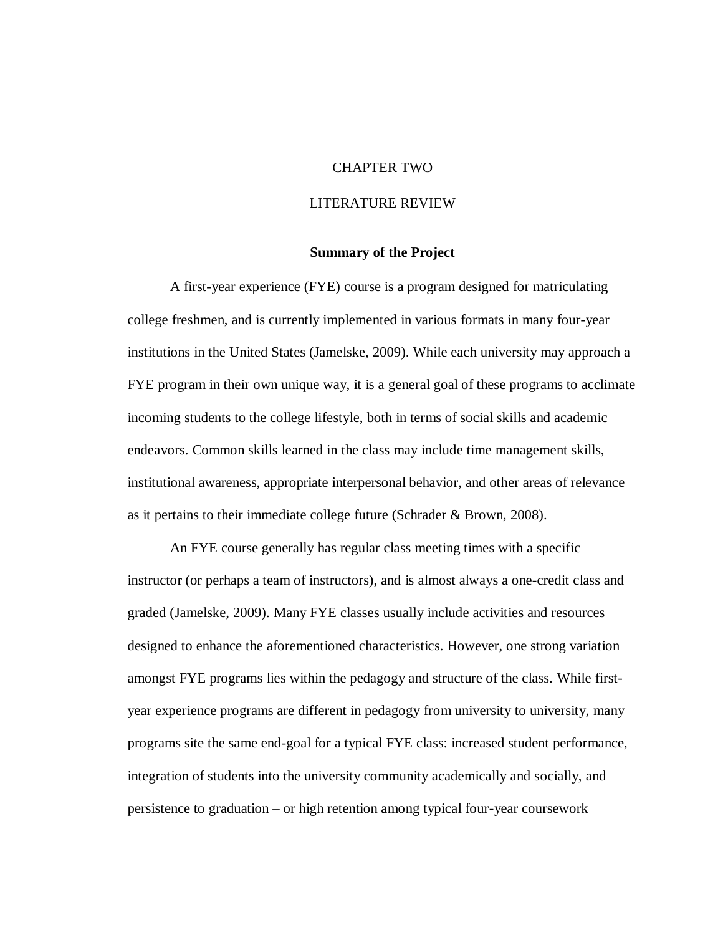#### CHAPTER TWO

#### LITERATURE REVIEW

#### **Summary of the Project**

A first-year experience (FYE) course is a program designed for matriculating college freshmen, and is currently implemented in various formats in many four-year institutions in the United States (Jamelske, 2009). While each university may approach a FYE program in their own unique way, it is a general goal of these programs to acclimate incoming students to the college lifestyle, both in terms of social skills and academic endeavors. Common skills learned in the class may include time management skills, institutional awareness, appropriate interpersonal behavior, and other areas of relevance as it pertains to their immediate college future (Schrader & Brown, 2008).

An FYE course generally has regular class meeting times with a specific instructor (or perhaps a team of instructors), and is almost always a one-credit class and graded (Jamelske, 2009). Many FYE classes usually include activities and resources designed to enhance the aforementioned characteristics. However, one strong variation amongst FYE programs lies within the pedagogy and structure of the class. While firstyear experience programs are different in pedagogy from university to university, many programs site the same end-goal for a typical FYE class: increased student performance, integration of students into the university community academically and socially, and persistence to graduation – or high retention among typical four-year coursework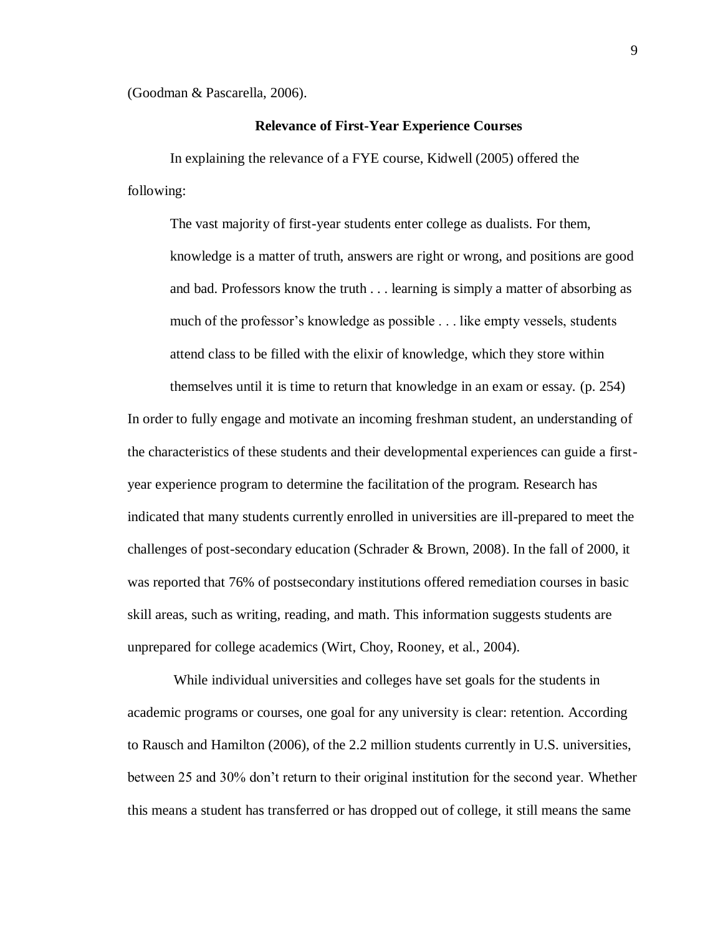(Goodman & Pascarella, 2006).

#### **Relevance of First-Year Experience Courses**

In explaining the relevance of a FYE course, Kidwell (2005) offered the following:

The vast majority of first-year students enter college as dualists. For them, knowledge is a matter of truth, answers are right or wrong, and positions are good and bad. Professors know the truth . . . learning is simply a matter of absorbing as much of the professor's knowledge as possible . . . like empty vessels, students attend class to be filled with the elixir of knowledge, which they store within themselves until it is time to return that knowledge in an exam or essay. (p. 254)

In order to fully engage and motivate an incoming freshman student, an understanding of the characteristics of these students and their developmental experiences can guide a firstyear experience program to determine the facilitation of the program. Research has indicated that many students currently enrolled in universities are ill-prepared to meet the challenges of post-secondary education (Schrader & Brown, 2008). In the fall of 2000, it was reported that 76% of postsecondary institutions offered remediation courses in basic skill areas, such as writing, reading, and math. This information suggests students are unprepared for college academics (Wirt, Choy, Rooney, et al., 2004).

While individual universities and colleges have set goals for the students in academic programs or courses, one goal for any university is clear: retention. According to Rausch and Hamilton (2006), of the 2.2 million students currently in U.S. universities, between 25 and 30% don't return to their original institution for the second year. Whether this means a student has transferred or has dropped out of college, it still means the same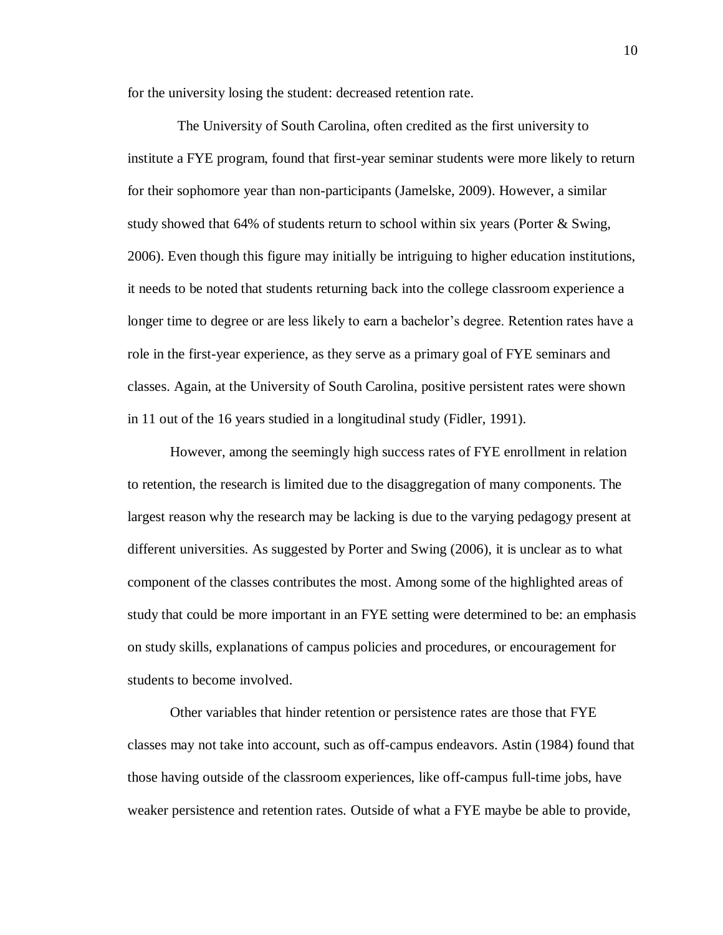for the university losing the student: decreased retention rate.

 The University of South Carolina, often credited as the first university to institute a FYE program, found that first-year seminar students were more likely to return for their sophomore year than non-participants (Jamelske, 2009). However, a similar study showed that 64% of students return to school within six years (Porter & Swing, 2006). Even though this figure may initially be intriguing to higher education institutions, it needs to be noted that students returning back into the college classroom experience a longer time to degree or are less likely to earn a bachelor's degree. Retention rates have a role in the first-year experience, as they serve as a primary goal of FYE seminars and classes. Again, at the University of South Carolina, positive persistent rates were shown in 11 out of the 16 years studied in a longitudinal study (Fidler, 1991).

However, among the seemingly high success rates of FYE enrollment in relation to retention, the research is limited due to the disaggregation of many components. The largest reason why the research may be lacking is due to the varying pedagogy present at different universities. As suggested by Porter and Swing (2006), it is unclear as to what component of the classes contributes the most. Among some of the highlighted areas of study that could be more important in an FYE setting were determined to be: an emphasis on study skills, explanations of campus policies and procedures, or encouragement for students to become involved.

Other variables that hinder retention or persistence rates are those that FYE classes may not take into account, such as off-campus endeavors. Astin (1984) found that those having outside of the classroom experiences, like off-campus full-time jobs, have weaker persistence and retention rates. Outside of what a FYE maybe be able to provide,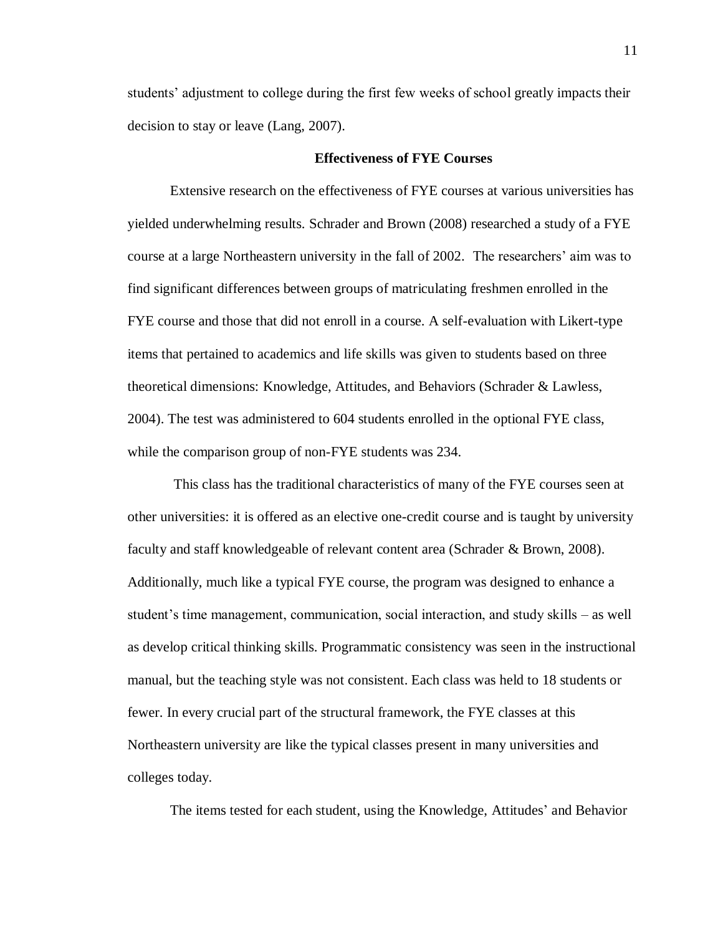students' adjustment to college during the first few weeks of school greatly impacts their decision to stay or leave (Lang, 2007).

#### **Effectiveness of FYE Courses**

Extensive research on the effectiveness of FYE courses at various universities has yielded underwhelming results. Schrader and Brown (2008) researched a study of a FYE course at a large Northeastern university in the fall of 2002. The researchers' aim was to find significant differences between groups of matriculating freshmen enrolled in the FYE course and those that did not enroll in a course. A self-evaluation with Likert-type items that pertained to academics and life skills was given to students based on three theoretical dimensions: Knowledge, Attitudes, and Behaviors (Schrader & Lawless, 2004). The test was administered to 604 students enrolled in the optional FYE class, while the comparison group of non-FYE students was 234.

This class has the traditional characteristics of many of the FYE courses seen at other universities: it is offered as an elective one-credit course and is taught by university faculty and staff knowledgeable of relevant content area (Schrader & Brown, 2008). Additionally, much like a typical FYE course, the program was designed to enhance a student's time management, communication, social interaction, and study skills – as well as develop critical thinking skills. Programmatic consistency was seen in the instructional manual, but the teaching style was not consistent. Each class was held to 18 students or fewer. In every crucial part of the structural framework, the FYE classes at this Northeastern university are like the typical classes present in many universities and colleges today.

The items tested for each student, using the Knowledge, Attitudes' and Behavior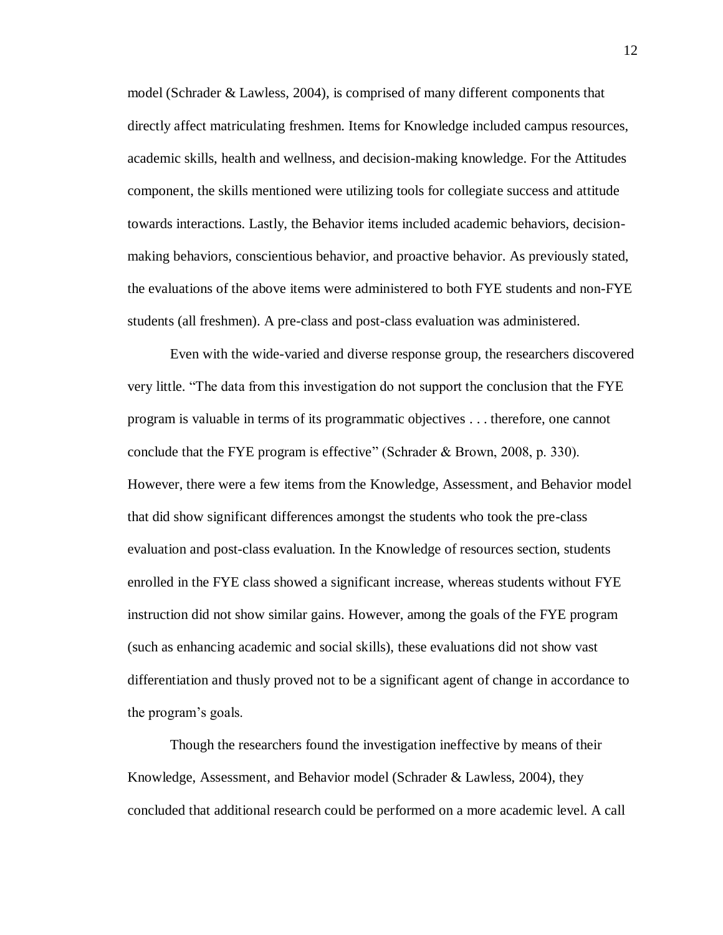model (Schrader & Lawless, 2004), is comprised of many different components that directly affect matriculating freshmen. Items for Knowledge included campus resources, academic skills, health and wellness, and decision-making knowledge. For the Attitudes component, the skills mentioned were utilizing tools for collegiate success and attitude towards interactions. Lastly, the Behavior items included academic behaviors, decisionmaking behaviors, conscientious behavior, and proactive behavior. As previously stated, the evaluations of the above items were administered to both FYE students and non-FYE students (all freshmen). A pre-class and post-class evaluation was administered.

Even with the wide-varied and diverse response group, the researchers discovered very little. "The data from this investigation do not support the conclusion that the FYE program is valuable in terms of its programmatic objectives . . . therefore, one cannot conclude that the FYE program is effective" (Schrader & Brown, 2008, p. 330). However, there were a few items from the Knowledge, Assessment, and Behavior model that did show significant differences amongst the students who took the pre-class evaluation and post-class evaluation. In the Knowledge of resources section, students enrolled in the FYE class showed a significant increase, whereas students without FYE instruction did not show similar gains. However, among the goals of the FYE program (such as enhancing academic and social skills), these evaluations did not show vast differentiation and thusly proved not to be a significant agent of change in accordance to the program's goals.

Though the researchers found the investigation ineffective by means of their Knowledge, Assessment, and Behavior model (Schrader & Lawless, 2004), they concluded that additional research could be performed on a more academic level. A call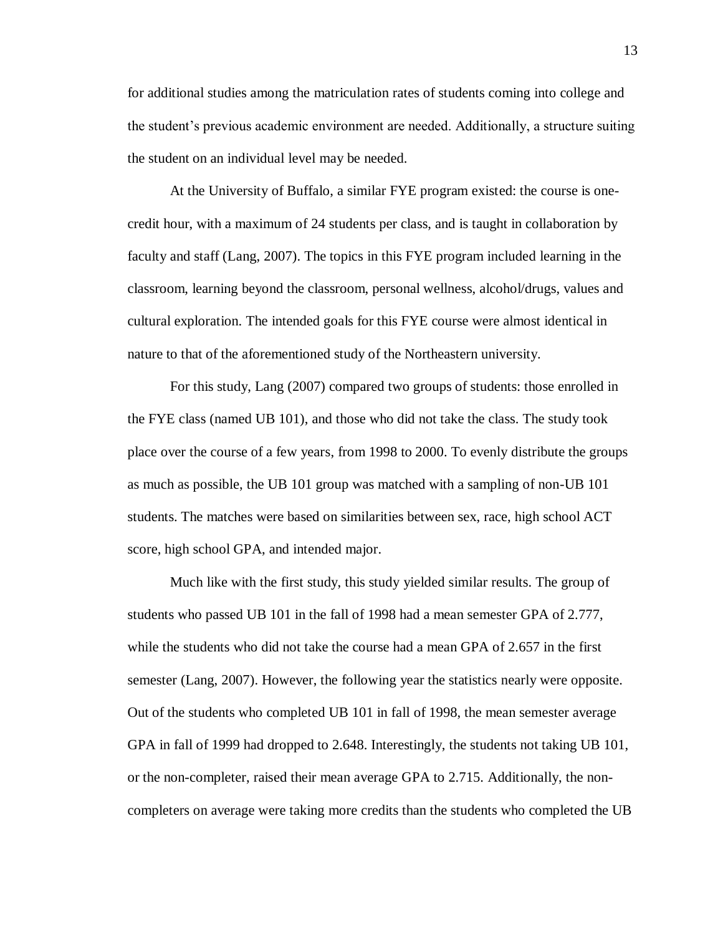for additional studies among the matriculation rates of students coming into college and the student's previous academic environment are needed. Additionally, a structure suiting the student on an individual level may be needed.

At the University of Buffalo, a similar FYE program existed: the course is onecredit hour, with a maximum of 24 students per class, and is taught in collaboration by faculty and staff (Lang, 2007). The topics in this FYE program included learning in the classroom, learning beyond the classroom, personal wellness, alcohol/drugs, values and cultural exploration. The intended goals for this FYE course were almost identical in nature to that of the aforementioned study of the Northeastern university.

For this study, Lang (2007) compared two groups of students: those enrolled in the FYE class (named UB 101), and those who did not take the class. The study took place over the course of a few years, from 1998 to 2000. To evenly distribute the groups as much as possible, the UB 101 group was matched with a sampling of non-UB 101 students. The matches were based on similarities between sex, race, high school ACT score, high school GPA, and intended major.

Much like with the first study, this study yielded similar results. The group of students who passed UB 101 in the fall of 1998 had a mean semester GPA of 2.777, while the students who did not take the course had a mean GPA of 2.657 in the first semester (Lang, 2007). However, the following year the statistics nearly were opposite. Out of the students who completed UB 101 in fall of 1998, the mean semester average GPA in fall of 1999 had dropped to 2.648. Interestingly, the students not taking UB 101, or the non-completer, raised their mean average GPA to 2.715. Additionally, the noncompleters on average were taking more credits than the students who completed the UB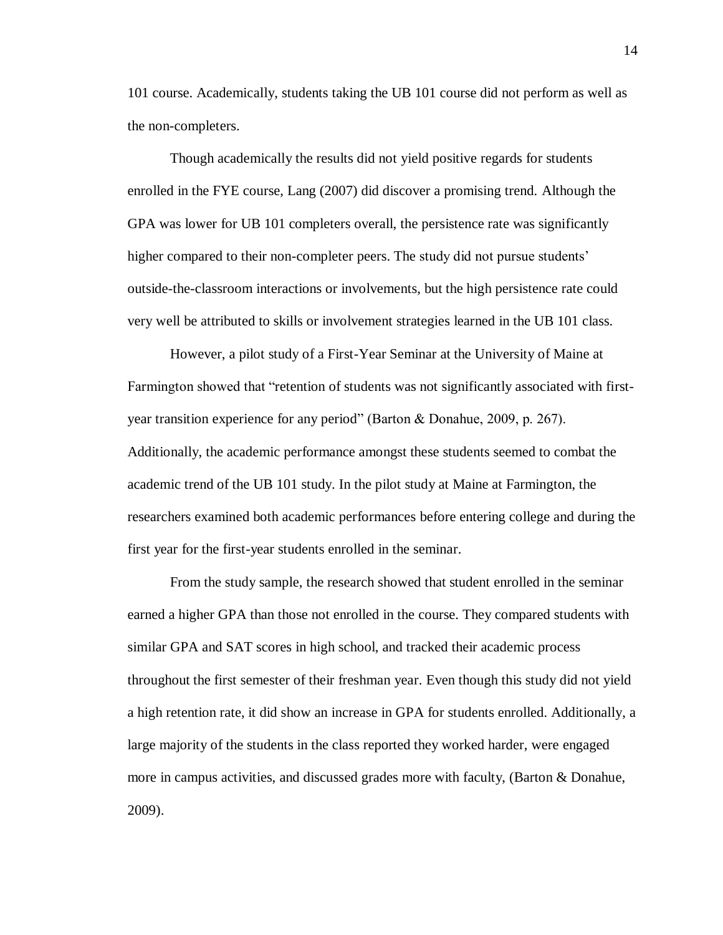101 course. Academically, students taking the UB 101 course did not perform as well as the non-completers.

Though academically the results did not yield positive regards for students enrolled in the FYE course, Lang (2007) did discover a promising trend. Although the GPA was lower for UB 101 completers overall, the persistence rate was significantly higher compared to their non-completer peers. The study did not pursue students' outside-the-classroom interactions or involvements, but the high persistence rate could very well be attributed to skills or involvement strategies learned in the UB 101 class.

However, a pilot study of a First-Year Seminar at the University of Maine at Farmington showed that "retention of students was not significantly associated with firstyear transition experience for any period" (Barton & Donahue, 2009, p. 267). Additionally, the academic performance amongst these students seemed to combat the academic trend of the UB 101 study. In the pilot study at Maine at Farmington, the researchers examined both academic performances before entering college and during the first year for the first-year students enrolled in the seminar.

From the study sample, the research showed that student enrolled in the seminar earned a higher GPA than those not enrolled in the course. They compared students with similar GPA and SAT scores in high school, and tracked their academic process throughout the first semester of their freshman year. Even though this study did not yield a high retention rate, it did show an increase in GPA for students enrolled. Additionally, a large majority of the students in the class reported they worked harder, were engaged more in campus activities, and discussed grades more with faculty, (Barton & Donahue, 2009).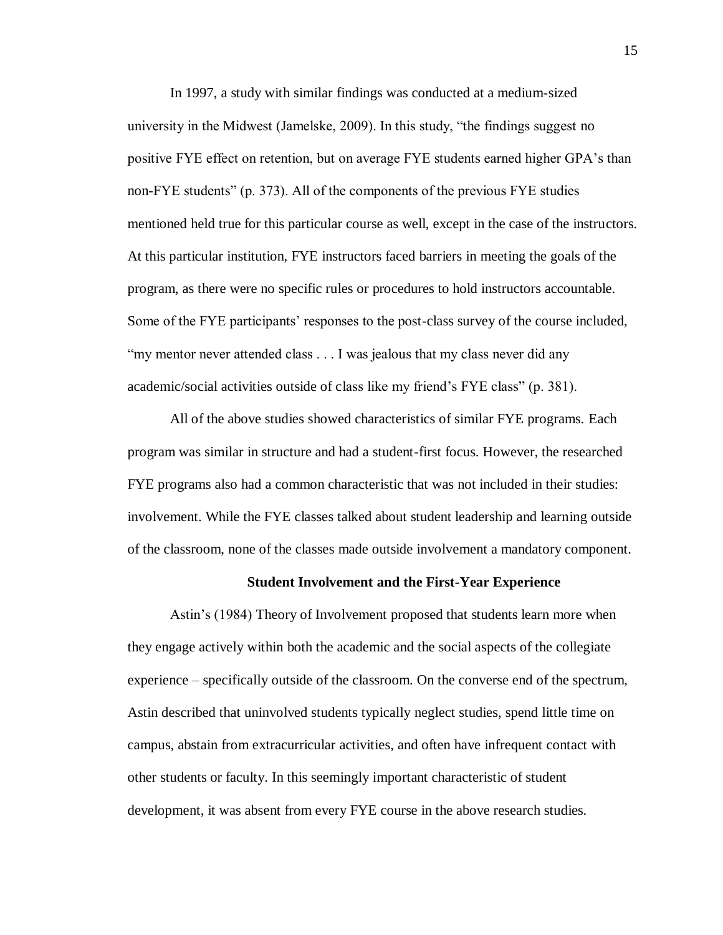In 1997, a study with similar findings was conducted at a medium-sized university in the Midwest (Jamelske, 2009). In this study, "the findings suggest no positive FYE effect on retention, but on average FYE students earned higher GPA's than non-FYE students" (p. 373). All of the components of the previous FYE studies mentioned held true for this particular course as well, except in the case of the instructors. At this particular institution, FYE instructors faced barriers in meeting the goals of the program, as there were no specific rules or procedures to hold instructors accountable. Some of the FYE participants' responses to the post-class survey of the course included, "my mentor never attended class . . . I was jealous that my class never did any academic/social activities outside of class like my friend's FYE class" (p. 381).

All of the above studies showed characteristics of similar FYE programs. Each program was similar in structure and had a student-first focus. However, the researched FYE programs also had a common characteristic that was not included in their studies: involvement. While the FYE classes talked about student leadership and learning outside of the classroom, none of the classes made outside involvement a mandatory component.

#### **Student Involvement and the First-Year Experience**

Astin's (1984) Theory of Involvement proposed that students learn more when they engage actively within both the academic and the social aspects of the collegiate experience – specifically outside of the classroom. On the converse end of the spectrum, Astin described that uninvolved students typically neglect studies, spend little time on campus, abstain from extracurricular activities, and often have infrequent contact with other students or faculty. In this seemingly important characteristic of student development, it was absent from every FYE course in the above research studies.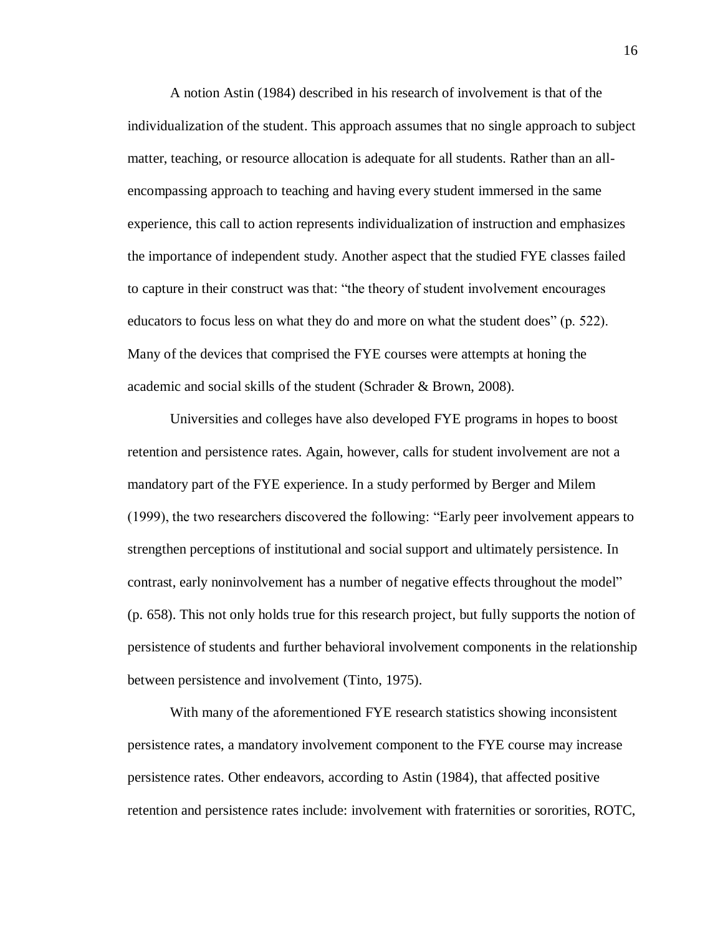A notion Astin (1984) described in his research of involvement is that of the individualization of the student. This approach assumes that no single approach to subject matter, teaching, or resource allocation is adequate for all students. Rather than an allencompassing approach to teaching and having every student immersed in the same experience, this call to action represents individualization of instruction and emphasizes the importance of independent study. Another aspect that the studied FYE classes failed to capture in their construct was that: "the theory of student involvement encourages educators to focus less on what they do and more on what the student does" (p. 522). Many of the devices that comprised the FYE courses were attempts at honing the academic and social skills of the student (Schrader & Brown, 2008).

Universities and colleges have also developed FYE programs in hopes to boost retention and persistence rates. Again, however, calls for student involvement are not a mandatory part of the FYE experience. In a study performed by Berger and Milem (1999), the two researchers discovered the following: "Early peer involvement appears to strengthen perceptions of institutional and social support and ultimately persistence. In contrast, early noninvolvement has a number of negative effects throughout the model" (p. 658). This not only holds true for this research project, but fully supports the notion of persistence of students and further behavioral involvement components in the relationship between persistence and involvement (Tinto, 1975).

With many of the aforementioned FYE research statistics showing inconsistent persistence rates, a mandatory involvement component to the FYE course may increase persistence rates. Other endeavors, according to Astin (1984), that affected positive retention and persistence rates include: involvement with fraternities or sororities, ROTC,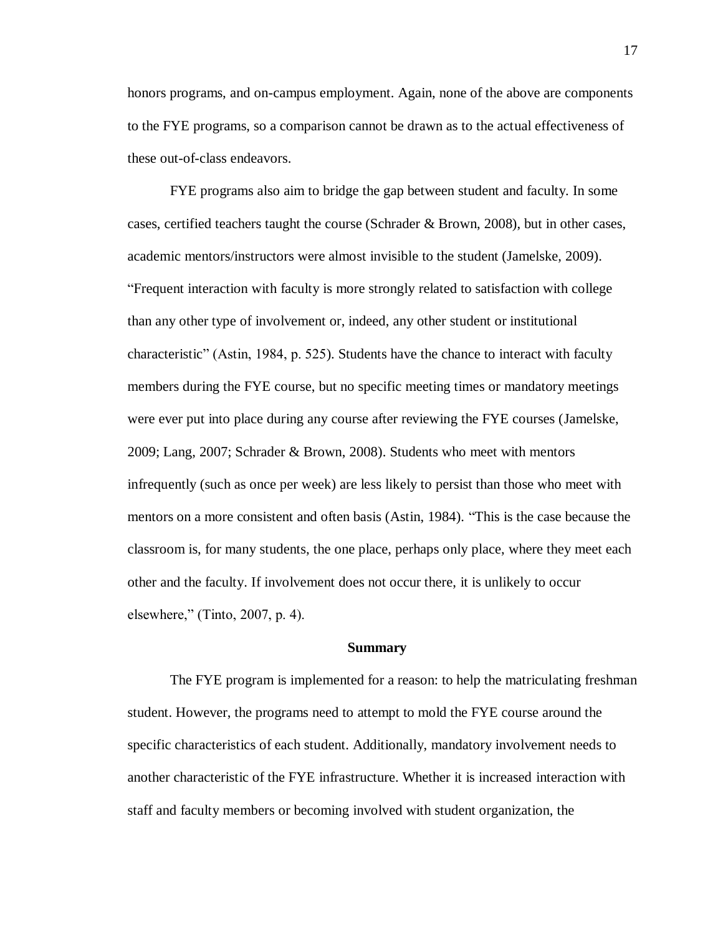honors programs, and on-campus employment. Again, none of the above are components to the FYE programs, so a comparison cannot be drawn as to the actual effectiveness of these out-of-class endeavors.

FYE programs also aim to bridge the gap between student and faculty. In some cases, certified teachers taught the course (Schrader & Brown, 2008), but in other cases, academic mentors/instructors were almost invisible to the student (Jamelske, 2009). "Frequent interaction with faculty is more strongly related to satisfaction with college than any other type of involvement or, indeed, any other student or institutional characteristic" (Astin, 1984, p. 525). Students have the chance to interact with faculty members during the FYE course, but no specific meeting times or mandatory meetings were ever put into place during any course after reviewing the FYE courses (Jamelske, 2009; Lang, 2007; Schrader & Brown, 2008). Students who meet with mentors infrequently (such as once per week) are less likely to persist than those who meet with mentors on a more consistent and often basis (Astin, 1984). "This is the case because the classroom is, for many students, the one place, perhaps only place, where they meet each other and the faculty. If involvement does not occur there, it is unlikely to occur elsewhere," (Tinto, 2007, p. 4).

#### **Summary**

The FYE program is implemented for a reason: to help the matriculating freshman student. However, the programs need to attempt to mold the FYE course around the specific characteristics of each student. Additionally, mandatory involvement needs to another characteristic of the FYE infrastructure. Whether it is increased interaction with staff and faculty members or becoming involved with student organization, the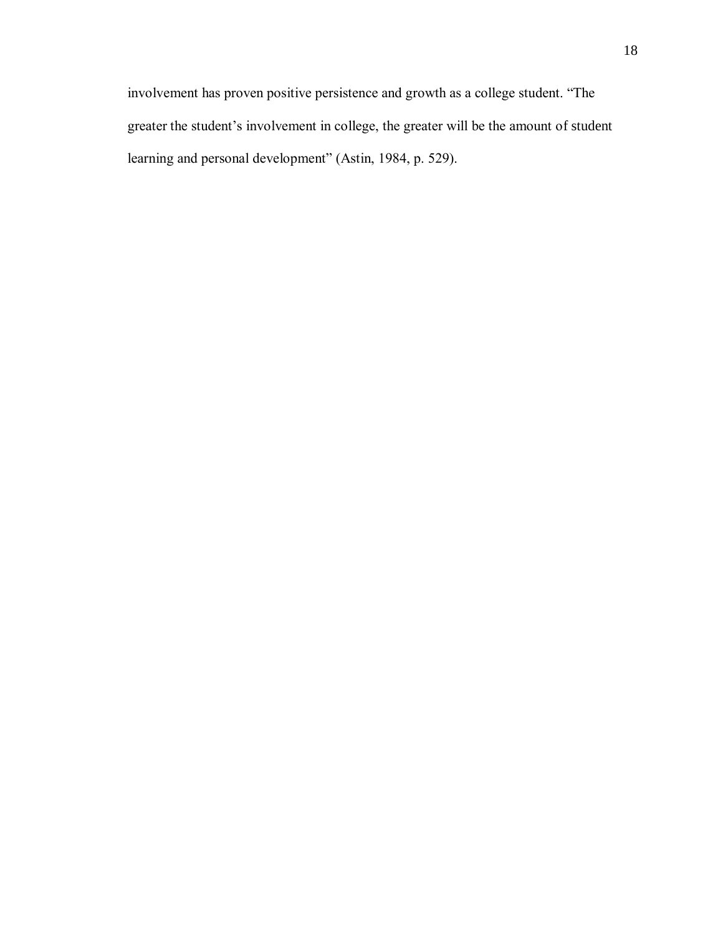involvement has proven positive persistence and growth as a college student. "The greater the student's involvement in college, the greater will be the amount of student learning and personal development" (Astin, 1984, p. 529).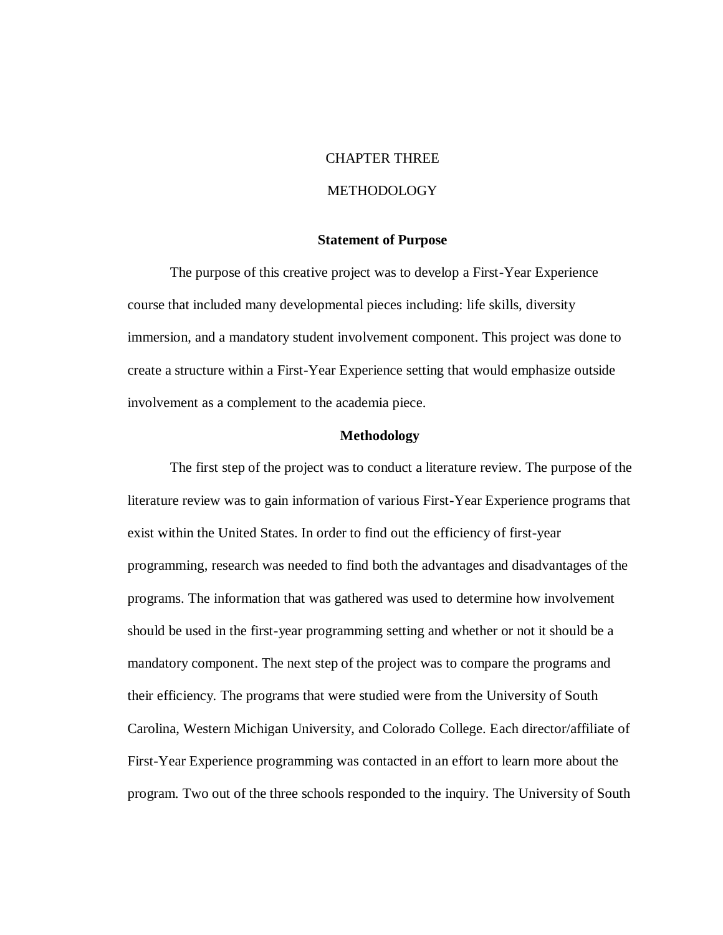#### CHAPTER THREE

#### METHODOLOGY

#### **Statement of Purpose**

The purpose of this creative project was to develop a First-Year Experience course that included many developmental pieces including: life skills, diversity immersion, and a mandatory student involvement component. This project was done to create a structure within a First-Year Experience setting that would emphasize outside involvement as a complement to the academia piece.

#### **Methodology**

The first step of the project was to conduct a literature review. The purpose of the literature review was to gain information of various First-Year Experience programs that exist within the United States. In order to find out the efficiency of first-year programming, research was needed to find both the advantages and disadvantages of the programs. The information that was gathered was used to determine how involvement should be used in the first-year programming setting and whether or not it should be a mandatory component. The next step of the project was to compare the programs and their efficiency. The programs that were studied were from the University of South Carolina, Western Michigan University, and Colorado College. Each director/affiliate of First-Year Experience programming was contacted in an effort to learn more about the program. Two out of the three schools responded to the inquiry. The University of South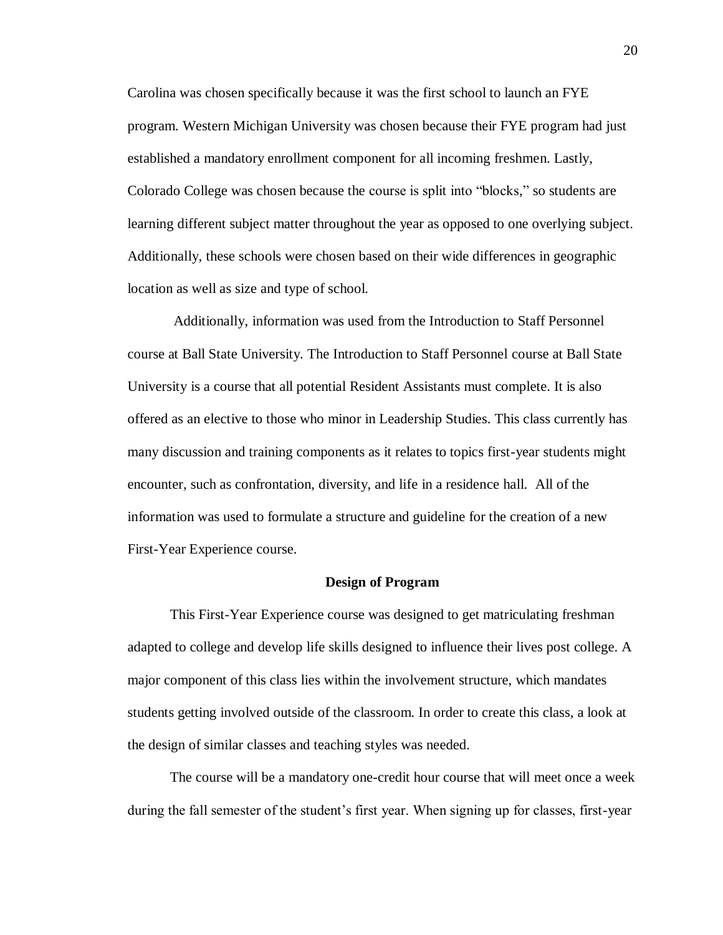Carolina was chosen specifically because it was the first school to launch an FYE program. Western Michigan University was chosen because their FYE program had just established a mandatory enrollment component for all incoming freshmen. Lastly, Colorado College was chosen because the course is split into "blocks," so students are learning different subject matter throughout the year as opposed to one overlying subject. Additionally, these schools were chosen based on their wide differences in geographic location as well as size and type of school.

Additionally, information was used from the Introduction to Staff Personnel course at Ball State University. The Introduction to Staff Personnel course at Ball State University is a course that all potential Resident Assistants must complete. It is also offered as an elective to those who minor in Leadership Studies. This class currently has many discussion and training components as it relates to topics first-year students might encounter, such as confrontation, diversity, and life in a residence hall. All of the information was used to formulate a structure and guideline for the creation of a new First-Year Experience course.

#### **Design of Program**

This First-Year Experience course was designed to get matriculating freshman adapted to college and develop life skills designed to influence their lives post college. A major component of this class lies within the involvement structure, which mandates students getting involved outside of the classroom. In order to create this class, a look at the design of similar classes and teaching styles was needed.

The course will be a mandatory one-credit hour course that will meet once a week during the fall semester of the student's first year. When signing up for classes, first-year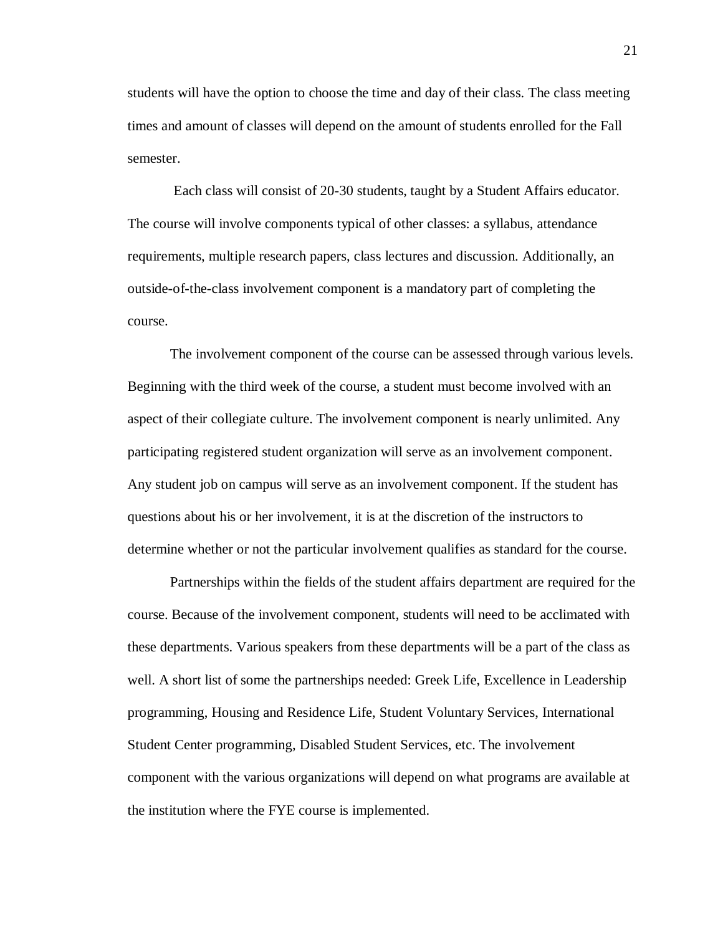students will have the option to choose the time and day of their class. The class meeting times and amount of classes will depend on the amount of students enrolled for the Fall semester.

Each class will consist of 20-30 students, taught by a Student Affairs educator. The course will involve components typical of other classes: a syllabus, attendance requirements, multiple research papers, class lectures and discussion. Additionally, an outside-of-the-class involvement component is a mandatory part of completing the course.

The involvement component of the course can be assessed through various levels. Beginning with the third week of the course, a student must become involved with an aspect of their collegiate culture. The involvement component is nearly unlimited. Any participating registered student organization will serve as an involvement component. Any student job on campus will serve as an involvement component. If the student has questions about his or her involvement, it is at the discretion of the instructors to determine whether or not the particular involvement qualifies as standard for the course.

Partnerships within the fields of the student affairs department are required for the course. Because of the involvement component, students will need to be acclimated with these departments. Various speakers from these departments will be a part of the class as well. A short list of some the partnerships needed: Greek Life, Excellence in Leadership programming, Housing and Residence Life, Student Voluntary Services, International Student Center programming, Disabled Student Services, etc. The involvement component with the various organizations will depend on what programs are available at the institution where the FYE course is implemented.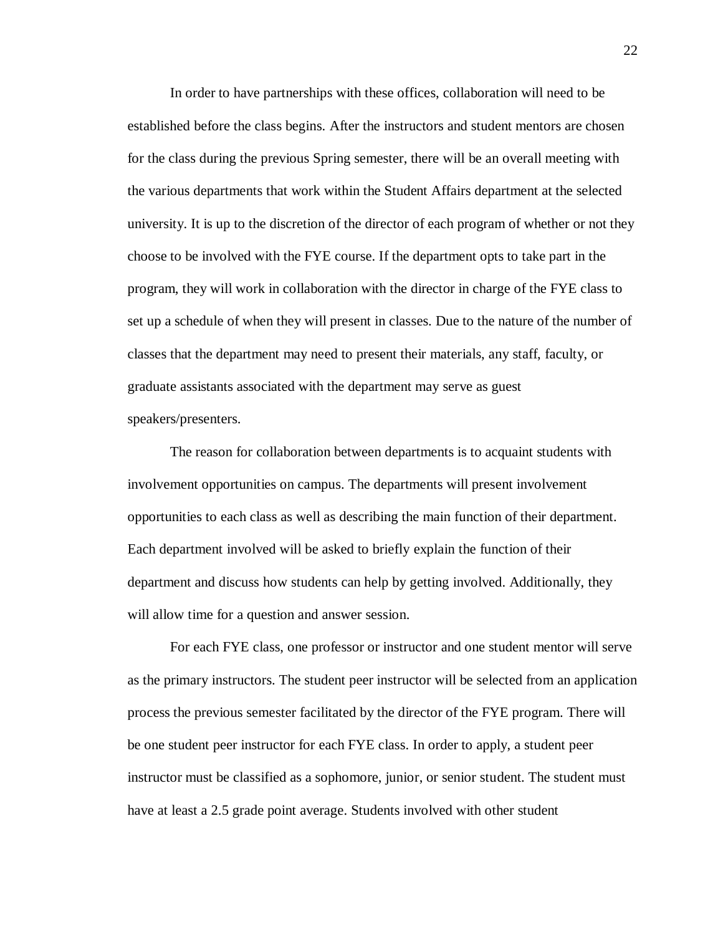In order to have partnerships with these offices, collaboration will need to be established before the class begins. After the instructors and student mentors are chosen for the class during the previous Spring semester, there will be an overall meeting with the various departments that work within the Student Affairs department at the selected university. It is up to the discretion of the director of each program of whether or not they choose to be involved with the FYE course. If the department opts to take part in the program, they will work in collaboration with the director in charge of the FYE class to set up a schedule of when they will present in classes. Due to the nature of the number of classes that the department may need to present their materials, any staff, faculty, or graduate assistants associated with the department may serve as guest speakers/presenters.

The reason for collaboration between departments is to acquaint students with involvement opportunities on campus. The departments will present involvement opportunities to each class as well as describing the main function of their department. Each department involved will be asked to briefly explain the function of their department and discuss how students can help by getting involved. Additionally, they will allow time for a question and answer session.

For each FYE class, one professor or instructor and one student mentor will serve as the primary instructors. The student peer instructor will be selected from an application process the previous semester facilitated by the director of the FYE program. There will be one student peer instructor for each FYE class. In order to apply, a student peer instructor must be classified as a sophomore, junior, or senior student. The student must have at least a 2.5 grade point average. Students involved with other student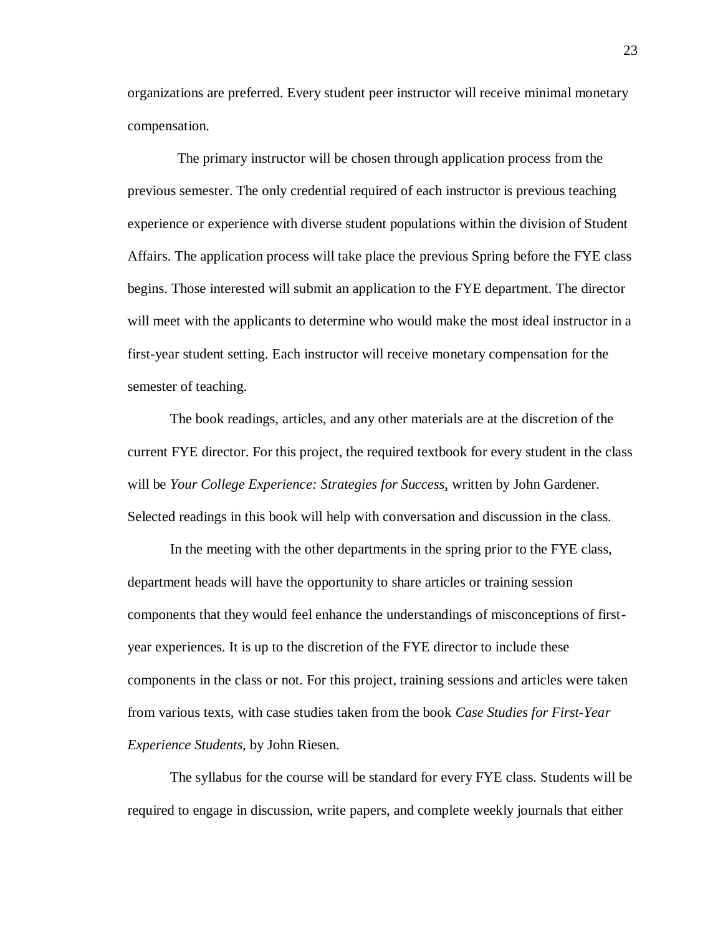organizations are preferred. Every student peer instructor will receive minimal monetary compensation.

 The primary instructor will be chosen through application process from the previous semester. The only credential required of each instructor is previous teaching experience or experience with diverse student populations within the division of Student Affairs. The application process will take place the previous Spring before the FYE class begins. Those interested will submit an application to the FYE department. The director will meet with the applicants to determine who would make the most ideal instructor in a first-year student setting. Each instructor will receive monetary compensation for the semester of teaching.

The book readings, articles, and any other materials are at the discretion of the current FYE director. For this project, the required textbook for every student in the class will be *Your College Experience: Strategies for Success*, written by John Gardener. Selected readings in this book will help with conversation and discussion in the class.

In the meeting with the other departments in the spring prior to the FYE class, department heads will have the opportunity to share articles or training session components that they would feel enhance the understandings of misconceptions of firstyear experiences. It is up to the discretion of the FYE director to include these components in the class or not. For this project, training sessions and articles were taken from various texts, with case studies taken from the book *Case Studies for First-Year Experience Students*, by John Riesen.

The syllabus for the course will be standard for every FYE class. Students will be required to engage in discussion, write papers, and complete weekly journals that either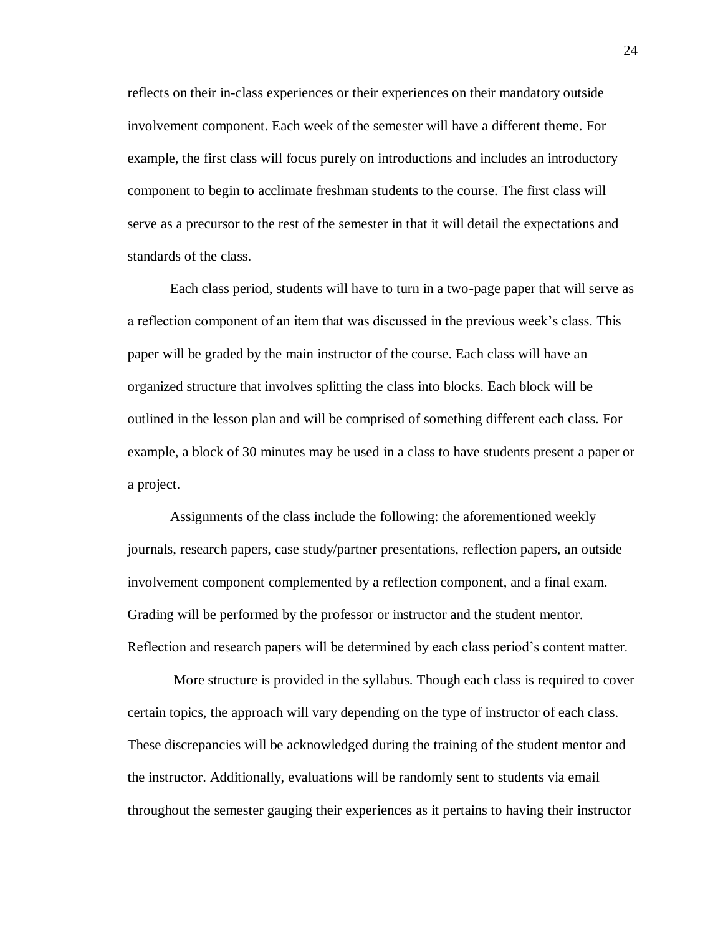reflects on their in-class experiences or their experiences on their mandatory outside involvement component. Each week of the semester will have a different theme. For example, the first class will focus purely on introductions and includes an introductory component to begin to acclimate freshman students to the course. The first class will serve as a precursor to the rest of the semester in that it will detail the expectations and standards of the class.

Each class period, students will have to turn in a two-page paper that will serve as a reflection component of an item that was discussed in the previous week's class. This paper will be graded by the main instructor of the course. Each class will have an organized structure that involves splitting the class into blocks. Each block will be outlined in the lesson plan and will be comprised of something different each class. For example, a block of 30 minutes may be used in a class to have students present a paper or a project.

Assignments of the class include the following: the aforementioned weekly journals, research papers, case study/partner presentations, reflection papers, an outside involvement component complemented by a reflection component, and a final exam. Grading will be performed by the professor or instructor and the student mentor. Reflection and research papers will be determined by each class period's content matter.

More structure is provided in the syllabus. Though each class is required to cover certain topics, the approach will vary depending on the type of instructor of each class. These discrepancies will be acknowledged during the training of the student mentor and the instructor. Additionally, evaluations will be randomly sent to students via email throughout the semester gauging their experiences as it pertains to having their instructor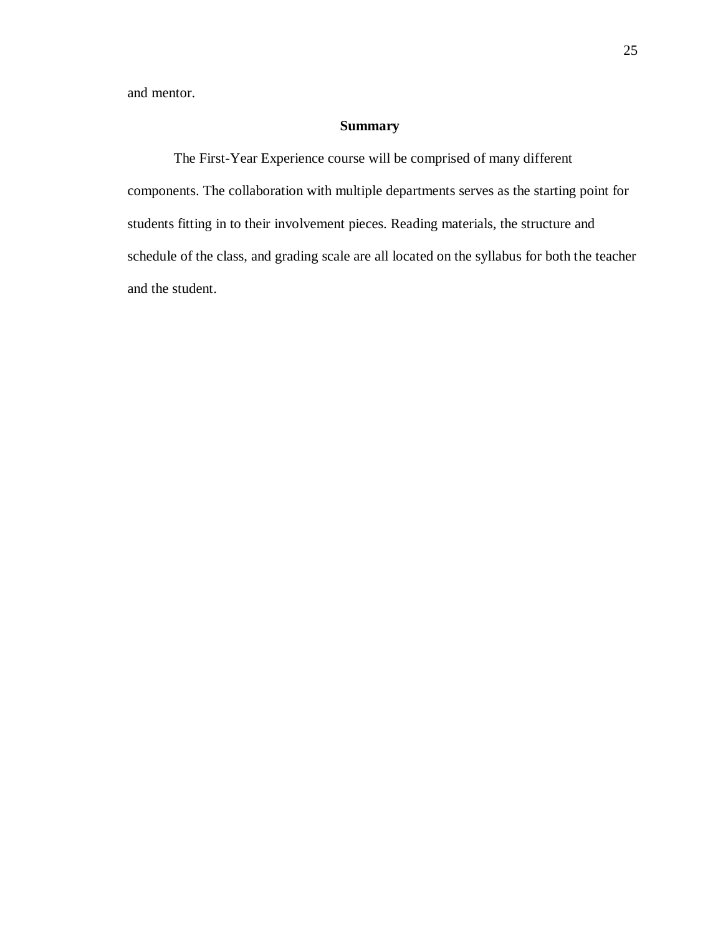and mentor.

## **Summary**

The First-Year Experience course will be comprised of many different components. The collaboration with multiple departments serves as the starting point for students fitting in to their involvement pieces. Reading materials, the structure and schedule of the class, and grading scale are all located on the syllabus for both the teacher and the student.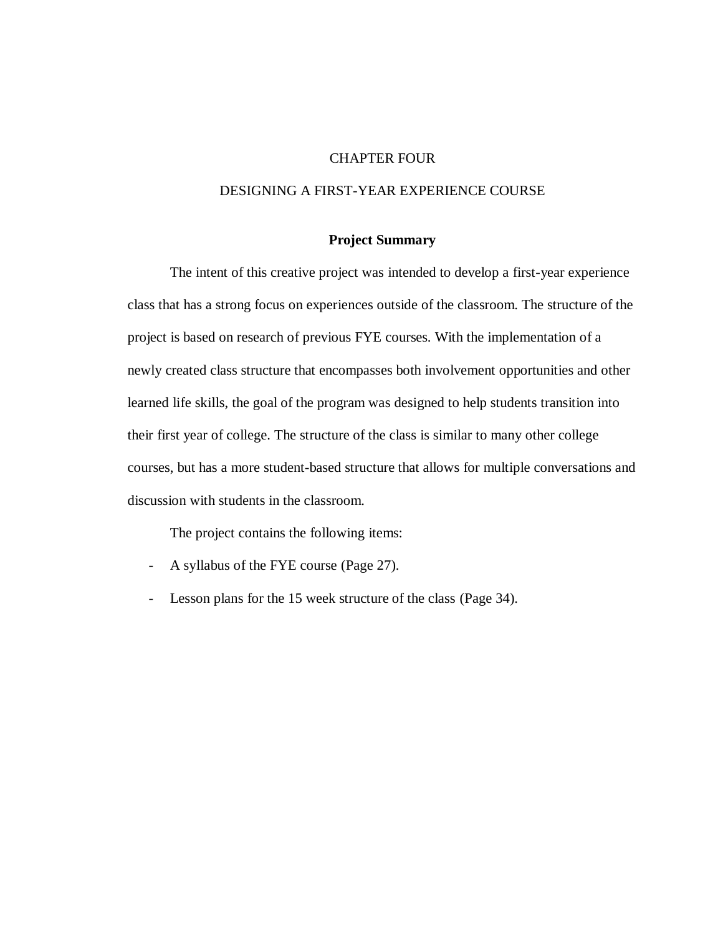# CHAPTER FOUR

## DESIGNING A FIRST-YEAR EXPERIENCE COURSE

#### **Project Summary**

The intent of this creative project was intended to develop a first-year experience class that has a strong focus on experiences outside of the classroom. The structure of the project is based on research of previous FYE courses. With the implementation of a newly created class structure that encompasses both involvement opportunities and other learned life skills, the goal of the program was designed to help students transition into their first year of college. The structure of the class is similar to many other college courses, but has a more student-based structure that allows for multiple conversations and discussion with students in the classroom.

The project contains the following items:

- A syllabus of the FYE course (Page 27).
- Lesson plans for the 15 week structure of the class (Page 34).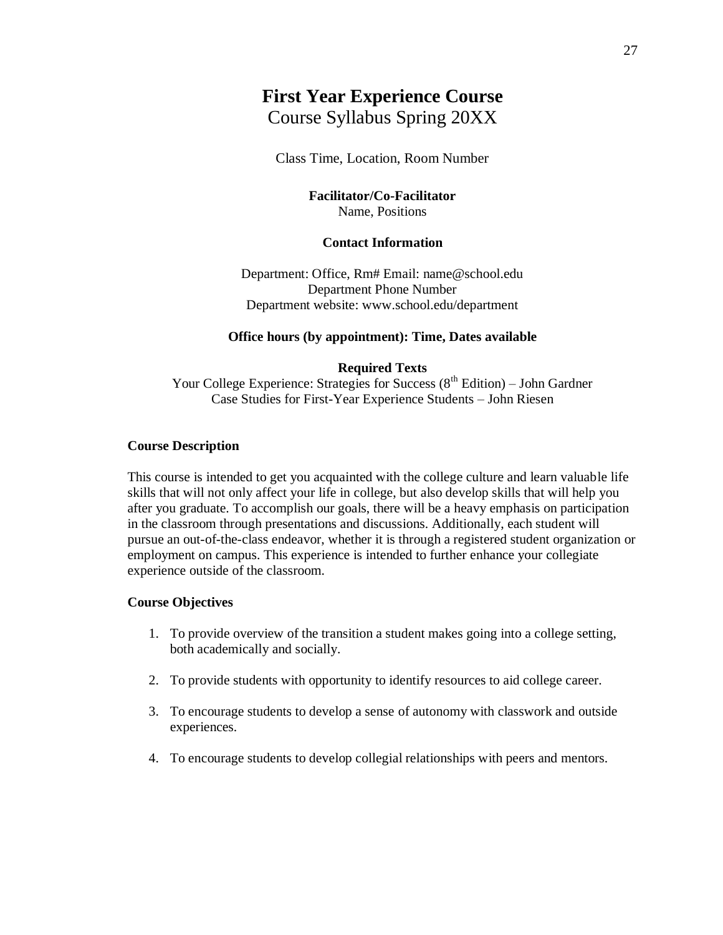# **First Year Experience Course** Course Syllabus Spring 20XX

Class Time, Location, Room Number

**Facilitator/Co-Facilitator** Name, Positions

#### **Contact Information**

Department: Office, Rm# Email: name@school.edu Department Phone Number Department website: www.school.edu/department

#### **Office hours (by appointment): Time, Dates available**

#### **Required Texts**

Your College Experience: Strategies for Success (8<sup>th</sup> Edition) – John Gardner Case Studies for First-Year Experience Students – John Riesen

#### **Course Description**

This course is intended to get you acquainted with the college culture and learn valuable life skills that will not only affect your life in college, but also develop skills that will help you after you graduate. To accomplish our goals, there will be a heavy emphasis on participation in the classroom through presentations and discussions. Additionally, each student will pursue an out-of-the-class endeavor, whether it is through a registered student organization or employment on campus. This experience is intended to further enhance your collegiate experience outside of the classroom.

#### **Course Objectives**

- 1. To provide overview of the transition a student makes going into a college setting, both academically and socially.
- 2. To provide students with opportunity to identify resources to aid college career.
- 3. To encourage students to develop a sense of autonomy with classwork and outside experiences.
- 4. To encourage students to develop collegial relationships with peers and mentors.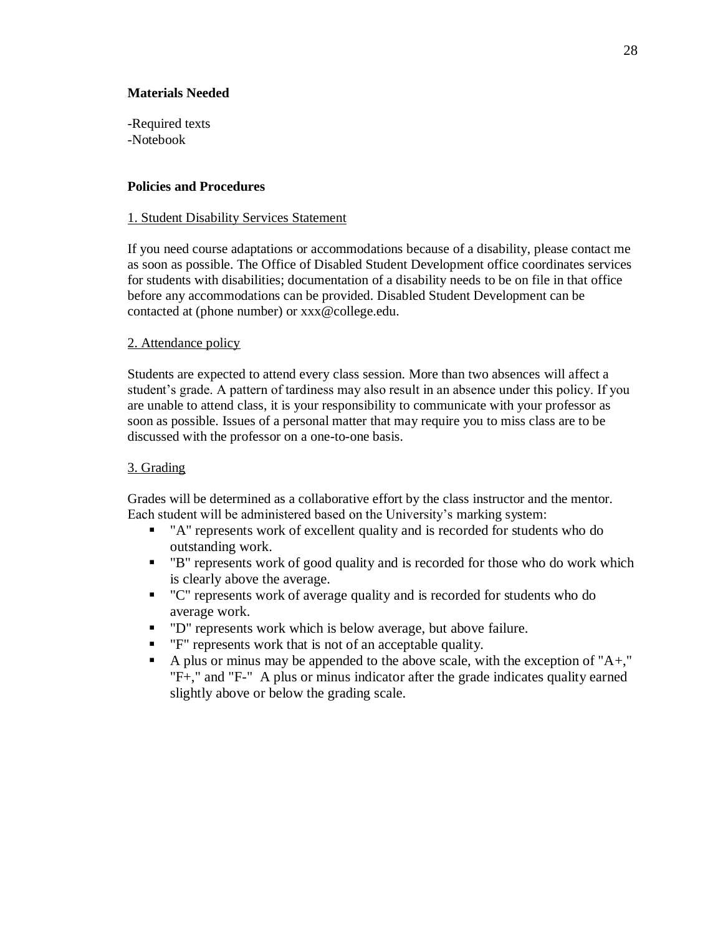#### **Materials Needed**

-Required texts -Notebook

#### **Policies and Procedures**

#### 1. Student Disability Services Statement

If you need course adaptations or accommodations because of a disability, please contact me as soon as possible. The Office of Disabled Student Development office coordinates services for students with disabilities; documentation of a disability needs to be on file in that office before any accommodations can be provided. Disabled Student Development can be contacted at (phone number) or xxx@college.edu.

#### 2. Attendance policy

Students are expected to attend every class session. More than two absences will affect a student's grade. A pattern of tardiness may also result in an absence under this policy. If you are unable to attend class, it is your responsibility to communicate with your professor as soon as possible. Issues of a personal matter that may require you to miss class are to be discussed with the professor on a one-to-one basis.

#### 3. Grading

Grades will be determined as a collaborative effort by the class instructor and the mentor. Each student will be administered based on the University's marking system:

- "A" represents work of excellent quality and is recorded for students who do outstanding work.
- " "B" represents work of good quality and is recorded for those who do work which is clearly above the average.
- " "C" represents work of average quality and is recorded for students who do average work.
- "D" represents work which is below average, but above failure.
- "F" represents work that is not of an acceptable quality.
- A plus or minus may be appended to the above scale, with the exception of "A+," "F+," and "F-" A plus or minus indicator after the grade indicates quality earned slightly above or below the grading scale.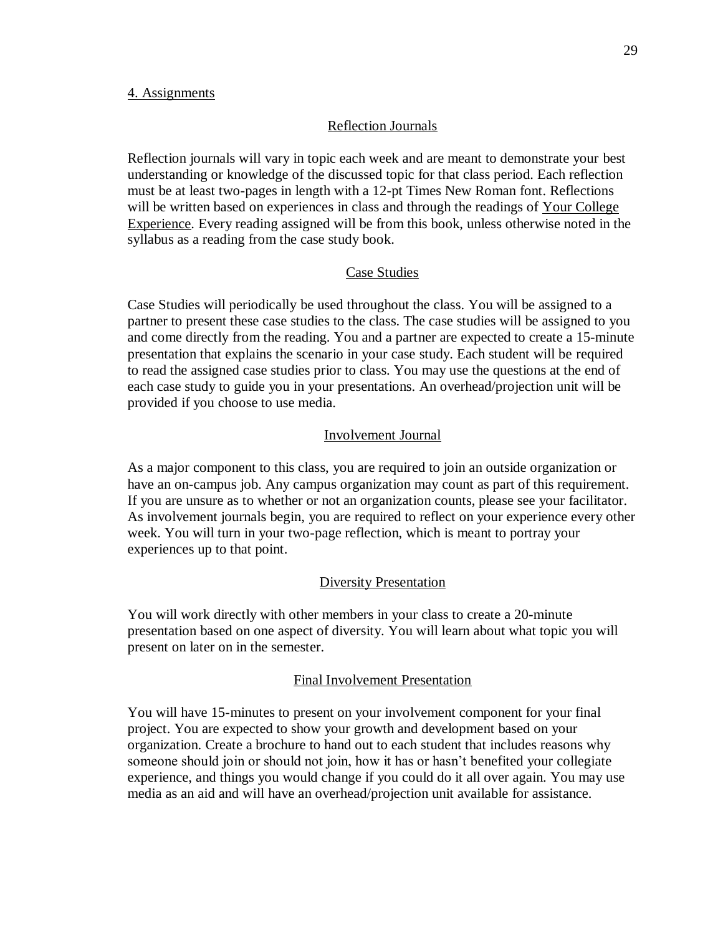#### 4. Assignments

#### Reflection Journals

Reflection journals will vary in topic each week and are meant to demonstrate your best understanding or knowledge of the discussed topic for that class period. Each reflection must be at least two-pages in length with a 12-pt Times New Roman font. Reflections will be written based on experiences in class and through the readings of Your College Experience. Every reading assigned will be from this book, unless otherwise noted in the syllabus as a reading from the case study book.

#### Case Studies

Case Studies will periodically be used throughout the class. You will be assigned to a partner to present these case studies to the class. The case studies will be assigned to you and come directly from the reading. You and a partner are expected to create a 15-minute presentation that explains the scenario in your case study. Each student will be required to read the assigned case studies prior to class. You may use the questions at the end of each case study to guide you in your presentations. An overhead/projection unit will be provided if you choose to use media.

#### Involvement Journal

As a major component to this class, you are required to join an outside organization or have an on-campus job. Any campus organization may count as part of this requirement. If you are unsure as to whether or not an organization counts, please see your facilitator. As involvement journals begin, you are required to reflect on your experience every other week. You will turn in your two-page reflection, which is meant to portray your experiences up to that point.

#### **Diversity Presentation**

You will work directly with other members in your class to create a 20-minute presentation based on one aspect of diversity. You will learn about what topic you will present on later on in the semester.

#### Final Involvement Presentation

You will have 15-minutes to present on your involvement component for your final project. You are expected to show your growth and development based on your organization. Create a brochure to hand out to each student that includes reasons why someone should join or should not join, how it has or hasn't benefited your collegiate experience, and things you would change if you could do it all over again. You may use media as an aid and will have an overhead/projection unit available for assistance.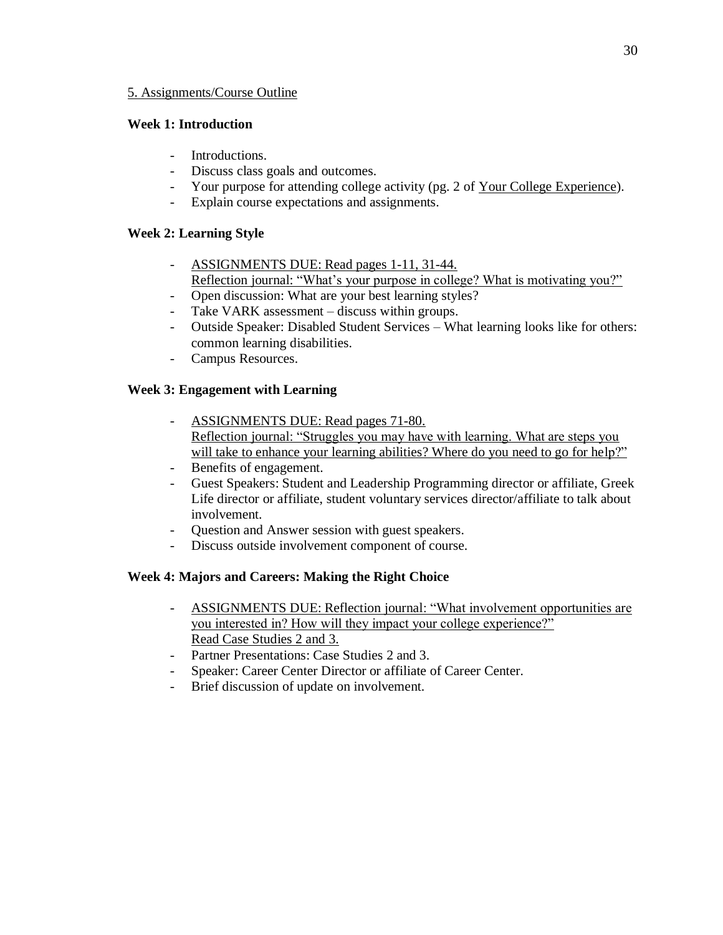#### 5. Assignments/Course Outline

#### **Week 1: Introduction**

- Introductions.
- Discuss class goals and outcomes.
- Your purpose for attending college activity (pg. 2 of Your College Experience).
- Explain course expectations and assignments.

## **Week 2: Learning Style**

- ASSIGNMENTS DUE: Read pages 1-11, 31-44. Reflection journal: "What's your purpose in college? What is motivating you?"
- Open discussion: What are your best learning styles?
- Take VARK assessment discuss within groups.
- Outside Speaker: Disabled Student Services What learning looks like for others: common learning disabilities.
- Campus Resources.

## **Week 3: Engagement with Learning**

- ASSIGNMENTS DUE: Read pages 71-80. Reflection journal: "Struggles you may have with learning. What are steps you will take to enhance your learning abilities? Where do you need to go for help?"
- Benefits of engagement.
- Guest Speakers: Student and Leadership Programming director or affiliate, Greek Life director or affiliate, student voluntary services director/affiliate to talk about involvement.
- Question and Answer session with guest speakers.
- Discuss outside involvement component of course.

## **Week 4: Majors and Careers: Making the Right Choice**

- ASSIGNMENTS DUE: Reflection journal: "What involvement opportunities are you interested in? How will they impact your college experience?" Read Case Studies 2 and 3.
- Partner Presentations: Case Studies 2 and 3.
- Speaker: Career Center Director or affiliate of Career Center.
- Brief discussion of update on involvement.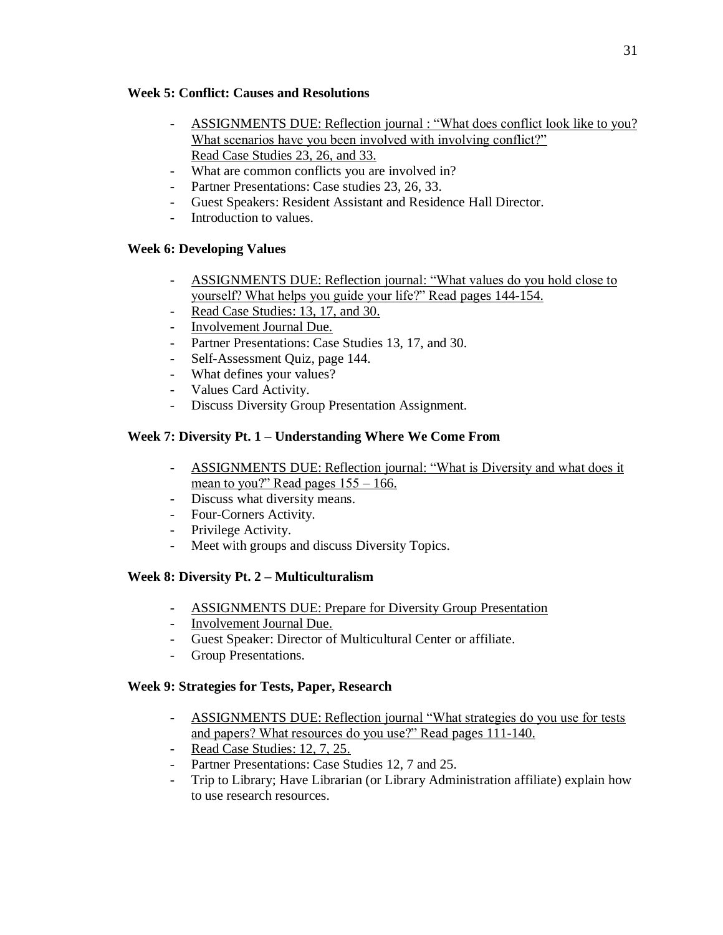## **Week 5: Conflict: Causes and Resolutions**

- ASSIGNMENTS DUE: Reflection journal : "What does conflict look like to you? What scenarios have you been involved with involving conflict?" Read Case Studies 23, 26, and 33.
- What are common conflicts you are involved in?
- Partner Presentations: Case studies 23, 26, 33.
- Guest Speakers: Resident Assistant and Residence Hall Director.
- Introduction to values.

# **Week 6: Developing Values**

- ASSIGNMENTS DUE: Reflection journal: "What values do you hold close to yourself? What helps you guide your life?" Read pages 144-154.
- Read Case Studies: 13, 17, and 30.
- Involvement Journal Due.
- Partner Presentations: Case Studies 13, 17, and 30.
- Self-Assessment Quiz, page 144.
- What defines your values?
- Values Card Activity.
- Discuss Diversity Group Presentation Assignment.

# **Week 7: Diversity Pt. 1 – Understanding Where We Come From**

- ASSIGNMENTS DUE: Reflection journal: "What is Diversity and what does it mean to you?" Read pages  $155 - 166$ .
- Discuss what diversity means.
- Four-Corners Activity.
- Privilege Activity.
- Meet with groups and discuss Diversity Topics.

# **Week 8: Diversity Pt. 2 – Multiculturalism**

- ASSIGNMENTS DUE: Prepare for Diversity Group Presentation
- Involvement Journal Due.
- Guest Speaker: Director of Multicultural Center or affiliate.
- Group Presentations.

# **Week 9: Strategies for Tests, Paper, Research**

- ASSIGNMENTS DUE: Reflection journal "What strategies do you use for tests and papers? What resources do you use?" Read pages 111-140.
- Read Case Studies: 12, 7, 25.
- Partner Presentations: Case Studies 12, 7 and 25.
- Trip to Library; Have Librarian (or Library Administration affiliate) explain how to use research resources.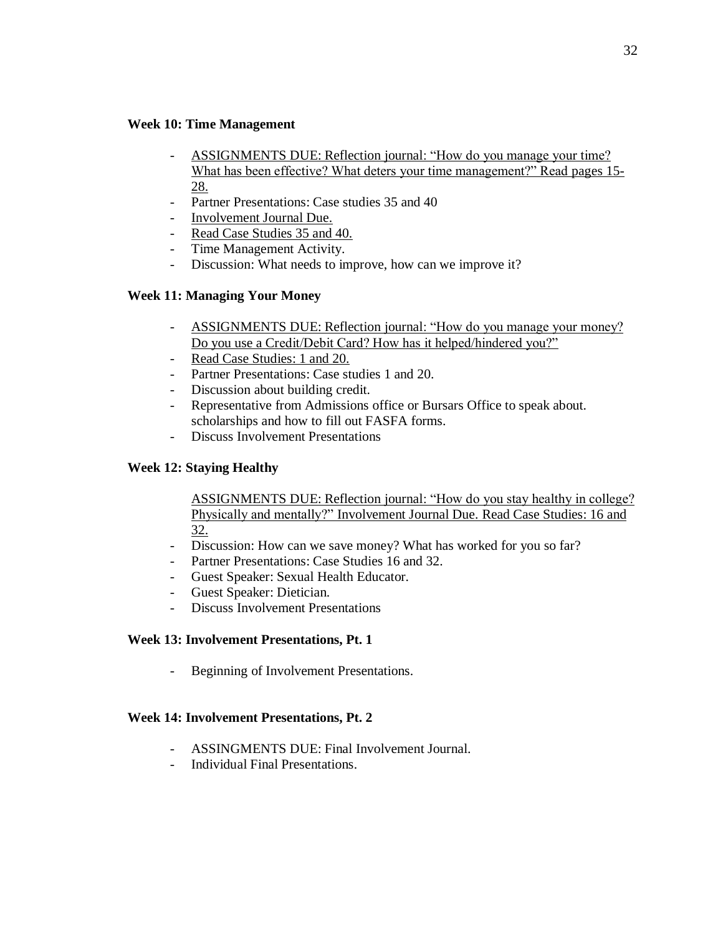#### **Week 10: Time Management**

- ASSIGNMENTS DUE: Reflection journal: "How do you manage your time? What has been effective? What deters your time management?" Read pages 15- 28.
- Partner Presentations: Case studies 35 and 40
- Involvement Journal Due.
- Read Case Studies 35 and 40.
- Time Management Activity.
- Discussion: What needs to improve, how can we improve it?

## **Week 11: Managing Your Money**

- ASSIGNMENTS DUE: Reflection journal: "How do you manage your money? Do you use a Credit/Debit Card? How has it helped/hindered you?"
- Read Case Studies: 1 and 20.
- Partner Presentations: Case studies 1 and 20.
- Discussion about building credit.
- Representative from Admissions office or Bursars Office to speak about. scholarships and how to fill out FASFA forms.
- Discuss Involvement Presentations

## **Week 12: Staying Healthy**

ASSIGNMENTS DUE: Reflection journal: "How do you stay healthy in college? Physically and mentally?" Involvement Journal Due. Read Case Studies: 16 and 32.

- Discussion: How can we save money? What has worked for you so far?
- Partner Presentations: Case Studies 16 and 32.
- Guest Speaker: Sexual Health Educator.
- Guest Speaker: Dietician.
- Discuss Involvement Presentations

## **Week 13: Involvement Presentations, Pt. 1**

Beginning of Involvement Presentations.

## **Week 14: Involvement Presentations, Pt. 2**

- ASSINGMENTS DUE: Final Involvement Journal.
- Individual Final Presentations.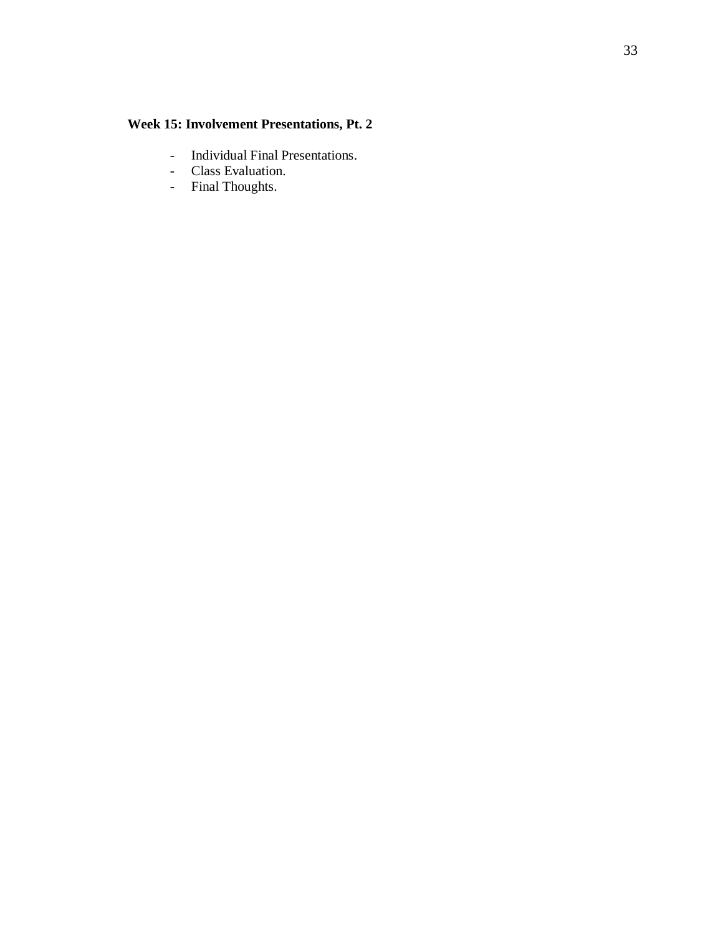# **Week 15: Involvement Presentations, Pt. 2**

- Individual Final Presentations.
- Class Evaluation.
- Final Thoughts.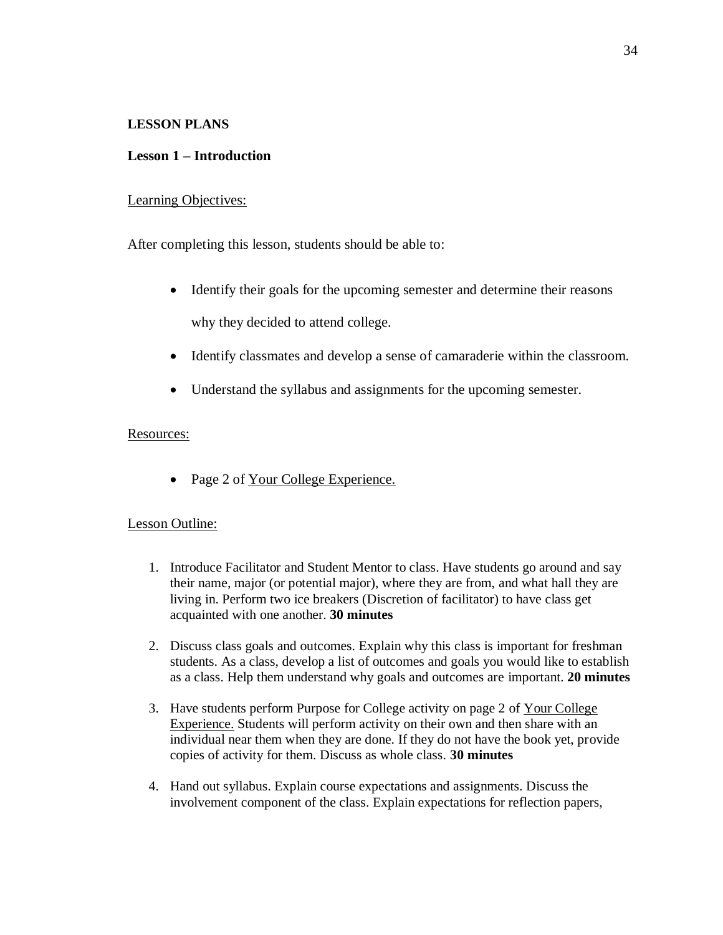## **LESSON PLANS**

#### **Lesson 1 – Introduction**

#### Learning Objectives:

After completing this lesson, students should be able to:

- Identify their goals for the upcoming semester and determine their reasons why they decided to attend college.
- Identify classmates and develop a sense of camaraderie within the classroom.
- Understand the syllabus and assignments for the upcoming semester.

#### Resources:

• Page 2 of <u>Your College Experience.</u>

#### Lesson Outline:

- 1. Introduce Facilitator and Student Mentor to class. Have students go around and say their name, major (or potential major), where they are from, and what hall they are living in. Perform two ice breakers (Discretion of facilitator) to have class get acquainted with one another. **30 minutes**
- 2. Discuss class goals and outcomes. Explain why this class is important for freshman students. As a class, develop a list of outcomes and goals you would like to establish as a class. Help them understand why goals and outcomes are important. **20 minutes**
- 3. Have students perform Purpose for College activity on page 2 of Your College Experience. Students will perform activity on their own and then share with an individual near them when they are done. If they do not have the book yet, provide copies of activity for them. Discuss as whole class. **30 minutes**
- 4. Hand out syllabus. Explain course expectations and assignments. Discuss the involvement component of the class. Explain expectations for reflection papers,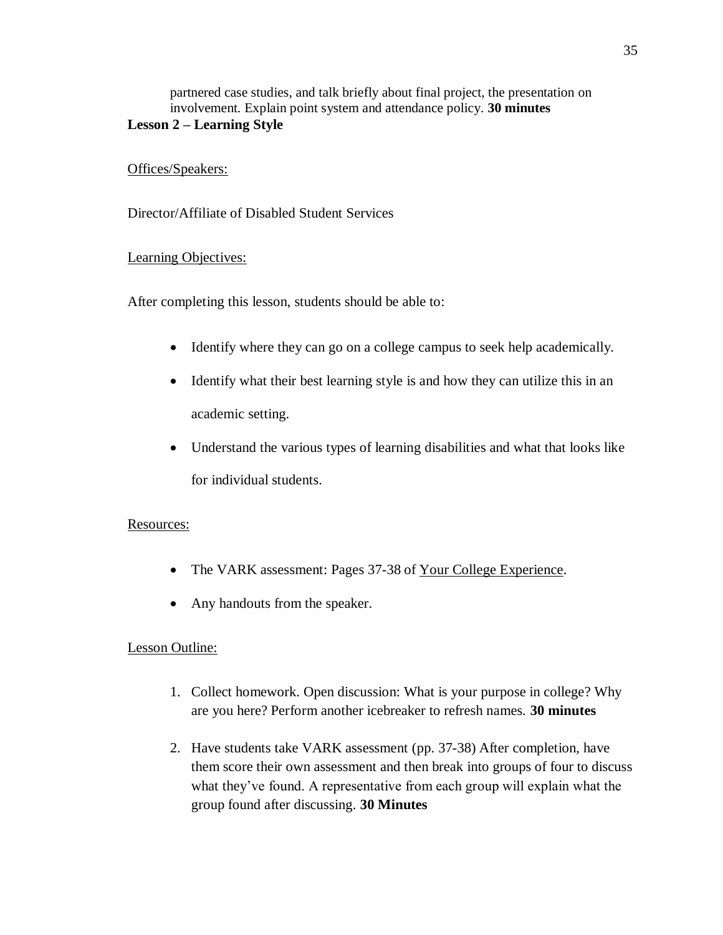partnered case studies, and talk briefly about final project, the presentation on involvement. Explain point system and attendance policy. **30 minutes Lesson 2 – Learning Style** 

#### Offices/Speakers:

Director/Affiliate of Disabled Student Services

#### Learning Objectives:

After completing this lesson, students should be able to:

- Identify where they can go on a college campus to seek help academically.
- Identify what their best learning style is and how they can utilize this in an academic setting.
- Understand the various types of learning disabilities and what that looks like for individual students.

#### Resources:

- The VARK assessment: Pages 37-38 of <u>Your College Experience</u>.
- Any handouts from the speaker.

#### Lesson Outline:

- 1. Collect homework. Open discussion: What is your purpose in college? Why are you here? Perform another icebreaker to refresh names. **30 minutes**
- 2. Have students take VARK assessment (pp. 37-38) After completion, have them score their own assessment and then break into groups of four to discuss what they've found. A representative from each group will explain what the group found after discussing. **30 Minutes**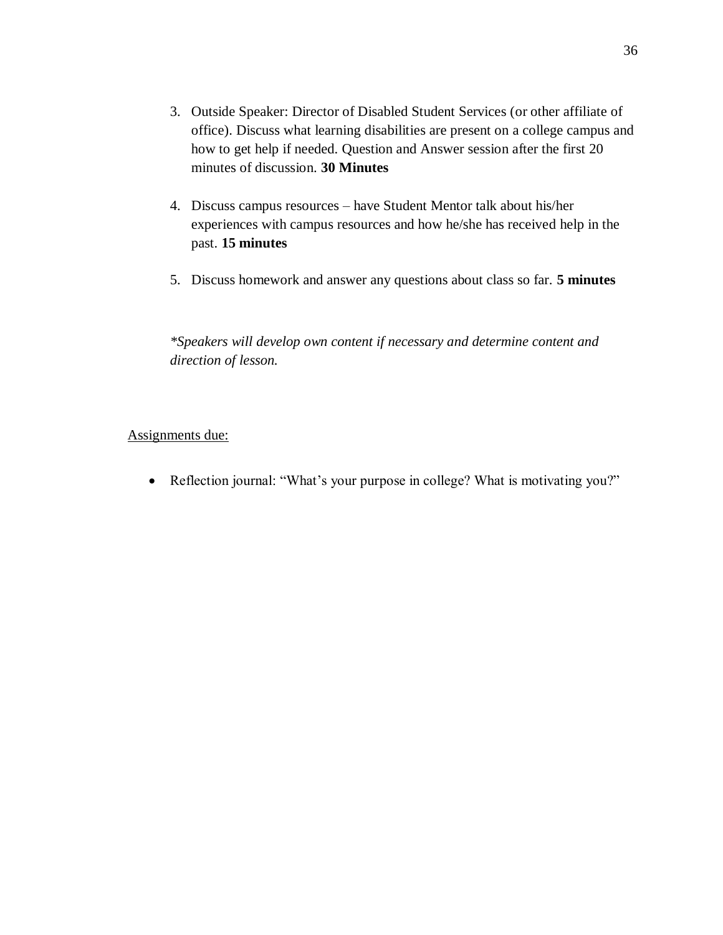- 3. Outside Speaker: Director of Disabled Student Services (or other affiliate of office). Discuss what learning disabilities are present on a college campus and how to get help if needed. Question and Answer session after the first 20 minutes of discussion. **30 Minutes**
- 4. Discuss campus resources have Student Mentor talk about his/her experiences with campus resources and how he/she has received help in the past. **15 minutes**
- 5. Discuss homework and answer any questions about class so far. **5 minutes**

*\*Speakers will develop own content if necessary and determine content and direction of lesson.*

## Assignments due:

• Reflection journal: "What's your purpose in college? What is motivating you?"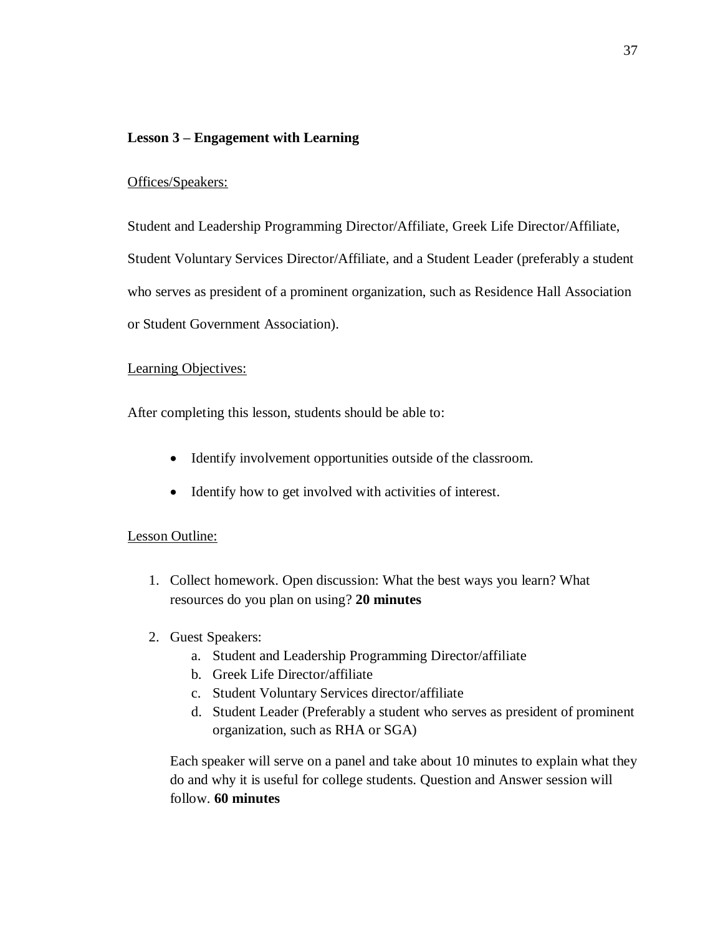#### **Lesson 3 – Engagement with Learning**

### Offices/Speakers:

Student and Leadership Programming Director/Affiliate, Greek Life Director/Affiliate,

Student Voluntary Services Director/Affiliate, and a Student Leader (preferably a student

who serves as president of a prominent organization, such as Residence Hall Association

or Student Government Association).

#### Learning Objectives:

After completing this lesson, students should be able to:

- Identify involvement opportunities outside of the classroom.
- Identify how to get involved with activities of interest.

## Lesson Outline:

- 1. Collect homework. Open discussion: What the best ways you learn? What resources do you plan on using? **20 minutes**
- 2. Guest Speakers:
	- a. Student and Leadership Programming Director/affiliate
	- b. Greek Life Director/affiliate
	- c. Student Voluntary Services director/affiliate
	- d. Student Leader (Preferably a student who serves as president of prominent organization, such as RHA or SGA)

Each speaker will serve on a panel and take about 10 minutes to explain what they do and why it is useful for college students. Question and Answer session will follow. **60 minutes**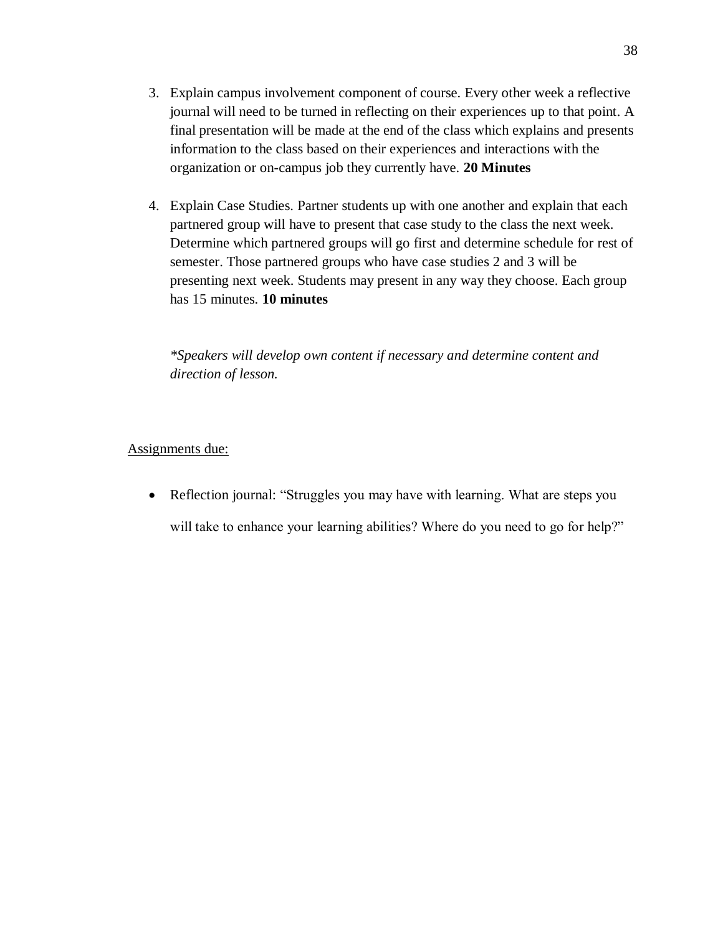- 3. Explain campus involvement component of course. Every other week a reflective journal will need to be turned in reflecting on their experiences up to that point. A final presentation will be made at the end of the class which explains and presents information to the class based on their experiences and interactions with the organization or on-campus job they currently have. **20 Minutes**
- 4. Explain Case Studies. Partner students up with one another and explain that each partnered group will have to present that case study to the class the next week. Determine which partnered groups will go first and determine schedule for rest of semester. Those partnered groups who have case studies 2 and 3 will be presenting next week. Students may present in any way they choose. Each group has 15 minutes. **10 minutes**

*\*Speakers will develop own content if necessary and determine content and direction of lesson.*

#### Assignments due:

 Reflection journal: "Struggles you may have with learning. What are steps you will take to enhance your learning abilities? Where do you need to go for help?"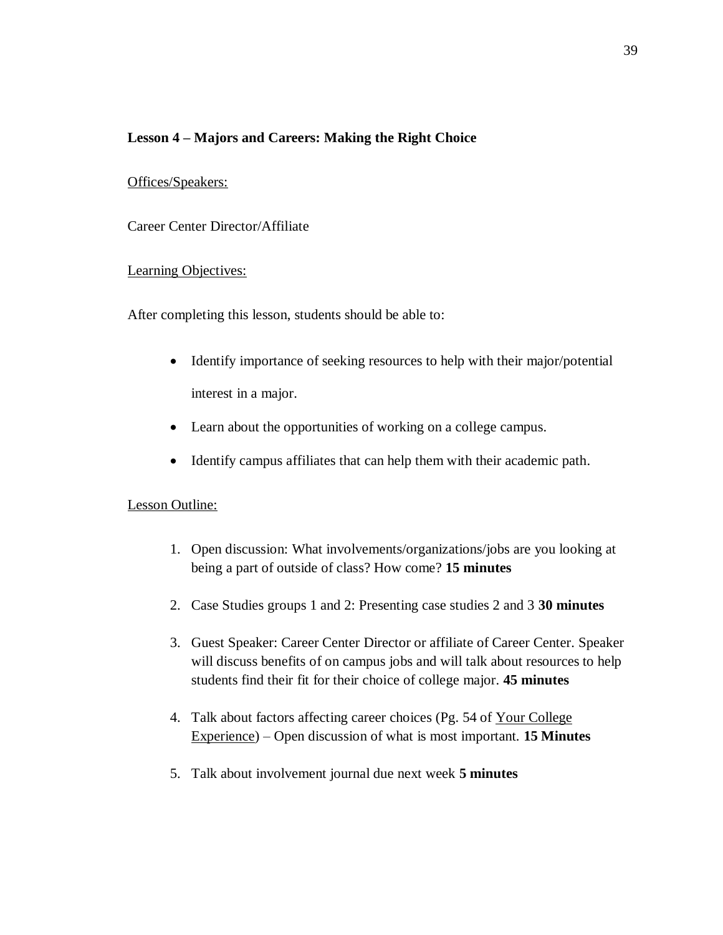## **Lesson 4 – Majors and Careers: Making the Right Choice**

### Offices/Speakers:

## Career Center Director/Affiliate

## Learning Objectives:

After completing this lesson, students should be able to:

- Identify importance of seeking resources to help with their major/potential interest in a major.
- Learn about the opportunities of working on a college campus.
- Identify campus affiliates that can help them with their academic path.

## Lesson Outline:

- 1. Open discussion: What involvements/organizations/jobs are you looking at being a part of outside of class? How come? **15 minutes**
- 2. Case Studies groups 1 and 2: Presenting case studies 2 and 3 **30 minutes**
- 3. Guest Speaker: Career Center Director or affiliate of Career Center. Speaker will discuss benefits of on campus jobs and will talk about resources to help students find their fit for their choice of college major. **45 minutes**
- 4. Talk about factors affecting career choices (Pg. 54 of Your College Experience) – Open discussion of what is most important. **15 Minutes**
- 5. Talk about involvement journal due next week **5 minutes**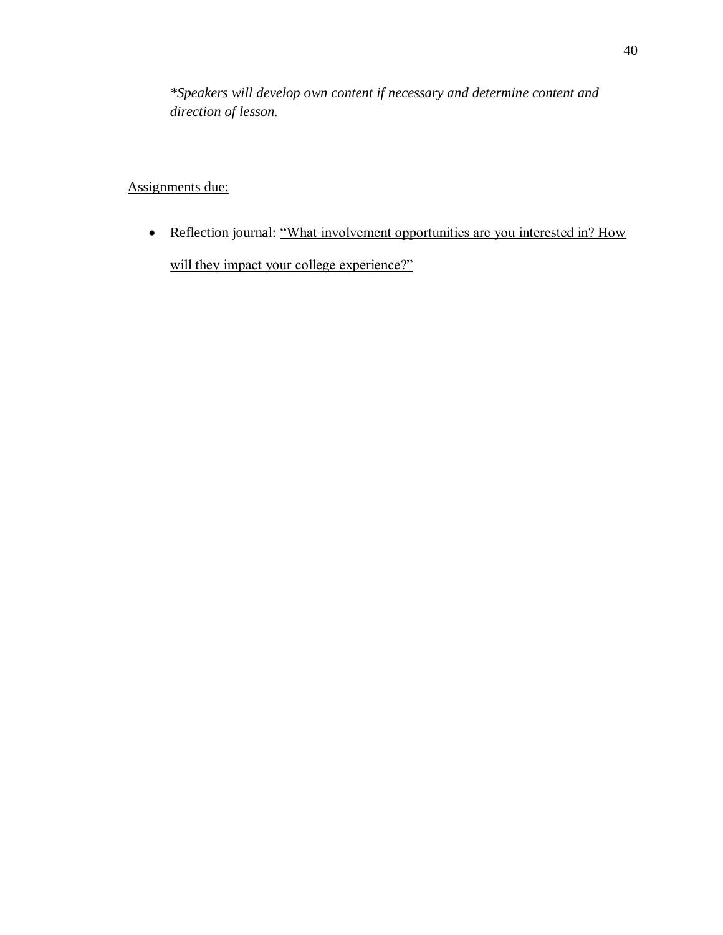*\*Speakers will develop own content if necessary and determine content and direction of lesson.*

# Assignments due:

• Reflection journal: "What involvement opportunities are you interested in? How will they impact your college experience?"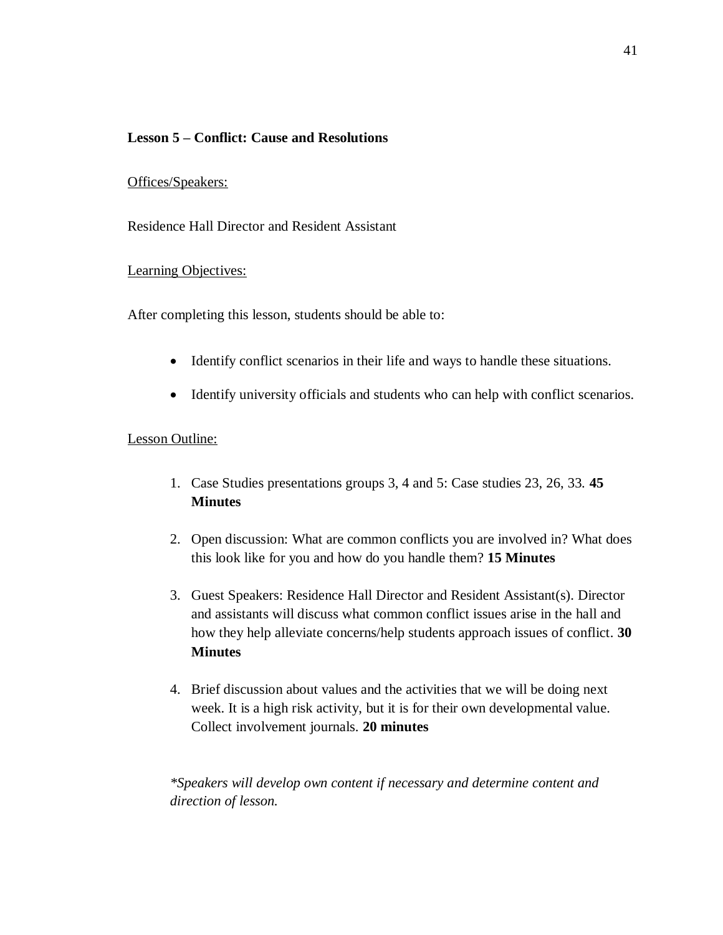## **Lesson 5 – Conflict: Cause and Resolutions**

#### Offices/Speakers:

Residence Hall Director and Resident Assistant

#### Learning Objectives:

After completing this lesson, students should be able to:

- Identify conflict scenarios in their life and ways to handle these situations.
- Identify university officials and students who can help with conflict scenarios.

#### Lesson Outline:

- 1. Case Studies presentations groups 3, 4 and 5: Case studies 23, 26, 33. **45 Minutes**
- 2. Open discussion: What are common conflicts you are involved in? What does this look like for you and how do you handle them? **15 Minutes**
- 3. Guest Speakers: Residence Hall Director and Resident Assistant(s). Director and assistants will discuss what common conflict issues arise in the hall and how they help alleviate concerns/help students approach issues of conflict. **30 Minutes**
- 4. Brief discussion about values and the activities that we will be doing next week. It is a high risk activity, but it is for their own developmental value. Collect involvement journals. **20 minutes**

*\*Speakers will develop own content if necessary and determine content and direction of lesson.*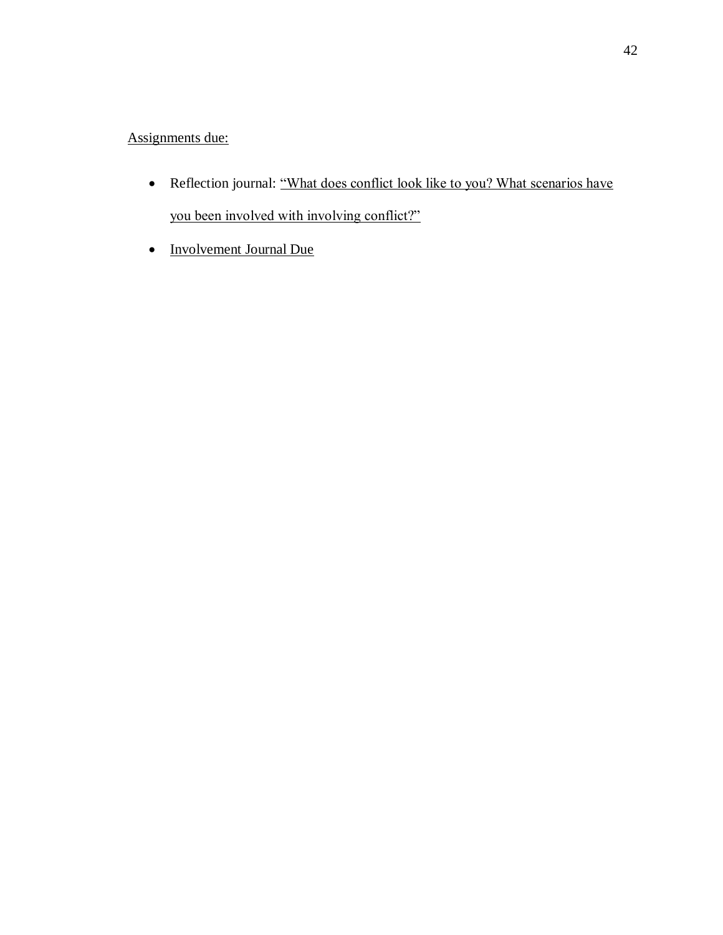# Assignments due:

- Reflection journal: "What does conflict look like to you? What scenarios have you been involved with involving conflict?"
- Involvement Journal Due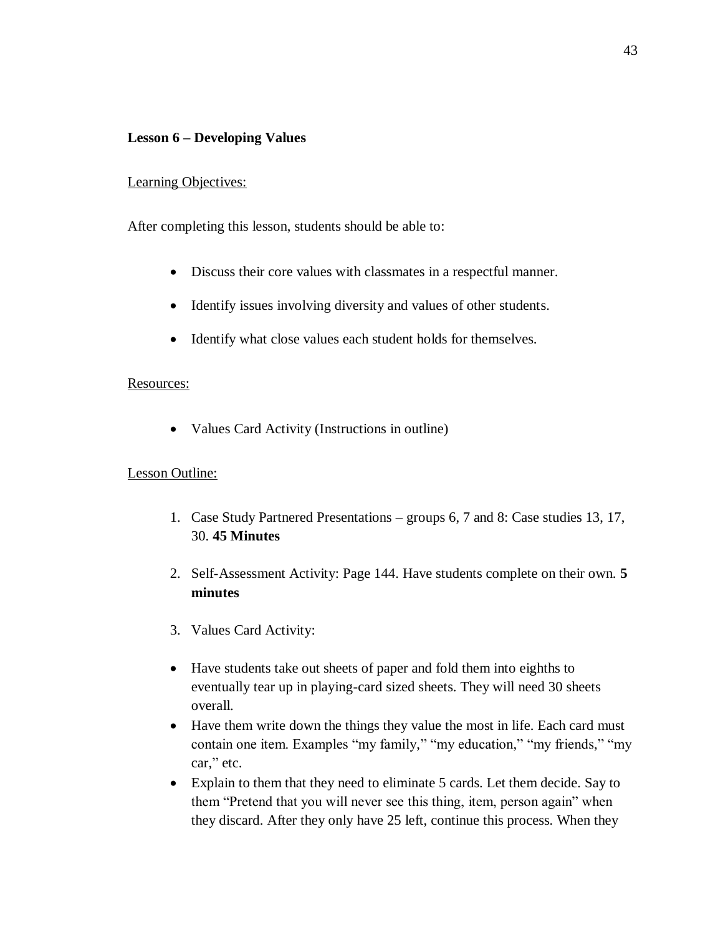## **Lesson 6 – Developing Values**

## Learning Objectives:

After completing this lesson, students should be able to:

- Discuss their core values with classmates in a respectful manner.
- Identify issues involving diversity and values of other students.
- Identify what close values each student holds for themselves.

#### Resources:

Values Card Activity (Instructions in outline)

## Lesson Outline:

- 1. Case Study Partnered Presentations groups 6, 7 and 8: Case studies 13, 17, 30. **45 Minutes**
- 2. Self-Assessment Activity: Page 144. Have students complete on their own. **5 minutes**
- 3. Values Card Activity:
- Have students take out sheets of paper and fold them into eighths to eventually tear up in playing-card sized sheets. They will need 30 sheets overall.
- Have them write down the things they value the most in life. Each card must contain one item. Examples "my family," "my education," "my friends," "my car," etc.
- Explain to them that they need to eliminate 5 cards. Let them decide. Say to them "Pretend that you will never see this thing, item, person again" when they discard. After they only have 25 left, continue this process. When they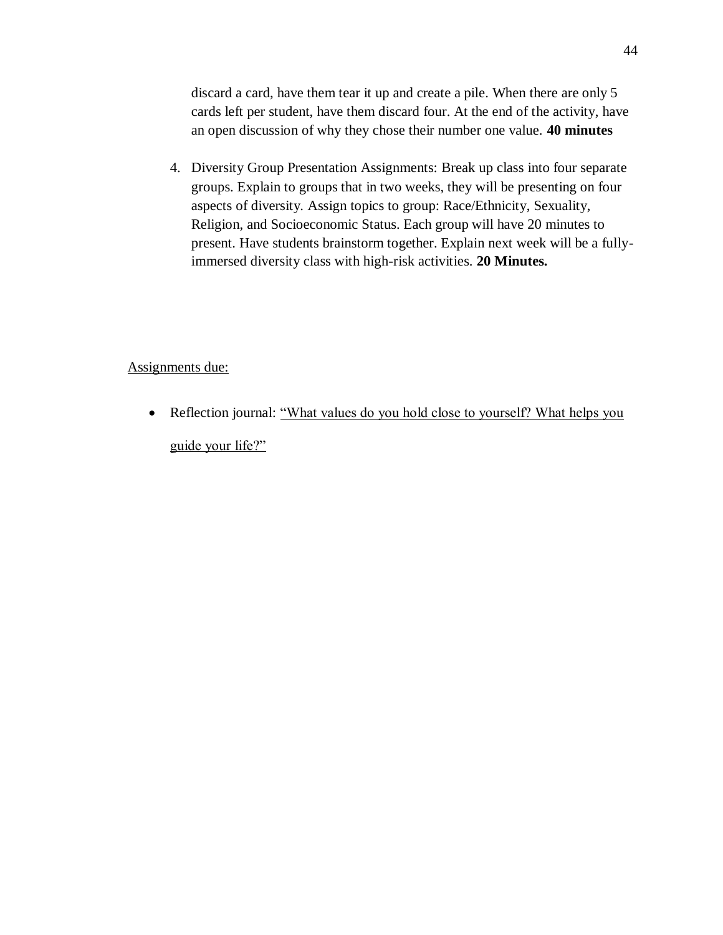discard a card, have them tear it up and create a pile. When there are only 5 cards left per student, have them discard four. At the end of the activity, have an open discussion of why they chose their number one value. **40 minutes** 

4. Diversity Group Presentation Assignments: Break up class into four separate groups. Explain to groups that in two weeks, they will be presenting on four aspects of diversity. Assign topics to group: Race/Ethnicity, Sexuality, Religion, and Socioeconomic Status. Each group will have 20 minutes to present. Have students brainstorm together. Explain next week will be a fullyimmersed diversity class with high-risk activities. **20 Minutes.** 

#### Assignments due:

• Reflection journal: "What values do you hold close to yourself? What helps you guide your life?"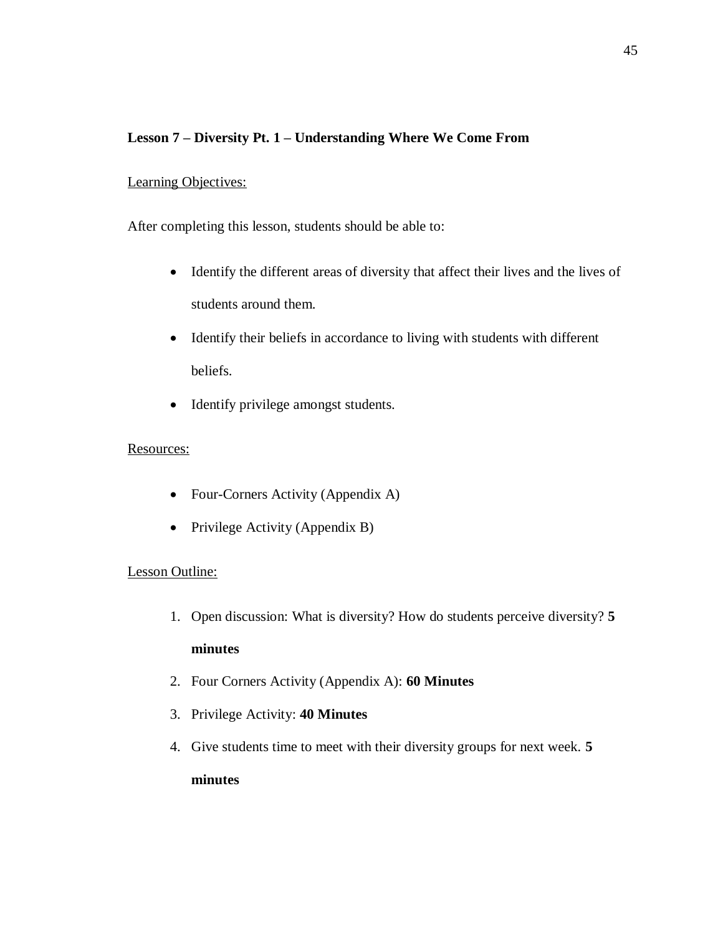## **Lesson 7 – Diversity Pt. 1 – Understanding Where We Come From**

## Learning Objectives:

After completing this lesson, students should be able to:

- Identify the different areas of diversity that affect their lives and the lives of students around them.
- Identify their beliefs in accordance to living with students with different beliefs.
- Identify privilege amongst students.

## Resources:

- Four-Corners Activity (Appendix A)
- Privilege Activity (Appendix B)

# Lesson Outline:

- 1. Open discussion: What is diversity? How do students perceive diversity? **5 minutes**
- 2. Four Corners Activity (Appendix A): **60 Minutes**
- 3. Privilege Activity: **40 Minutes**
- 4. Give students time to meet with their diversity groups for next week. **5 minutes**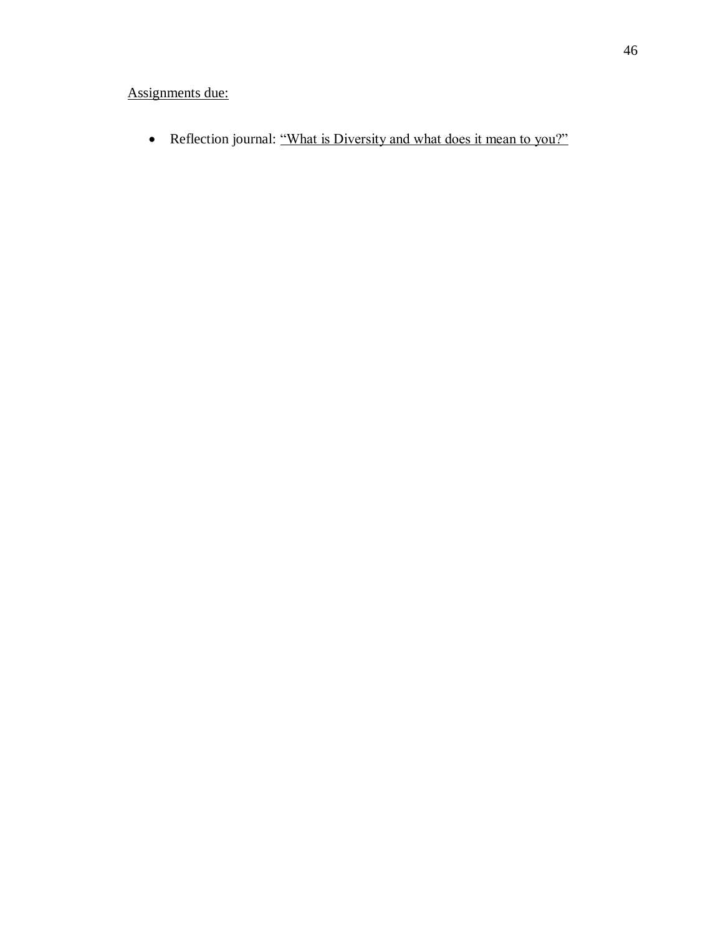# Assignments due:

• Reflection journal: "What is Diversity and what does it mean to you?"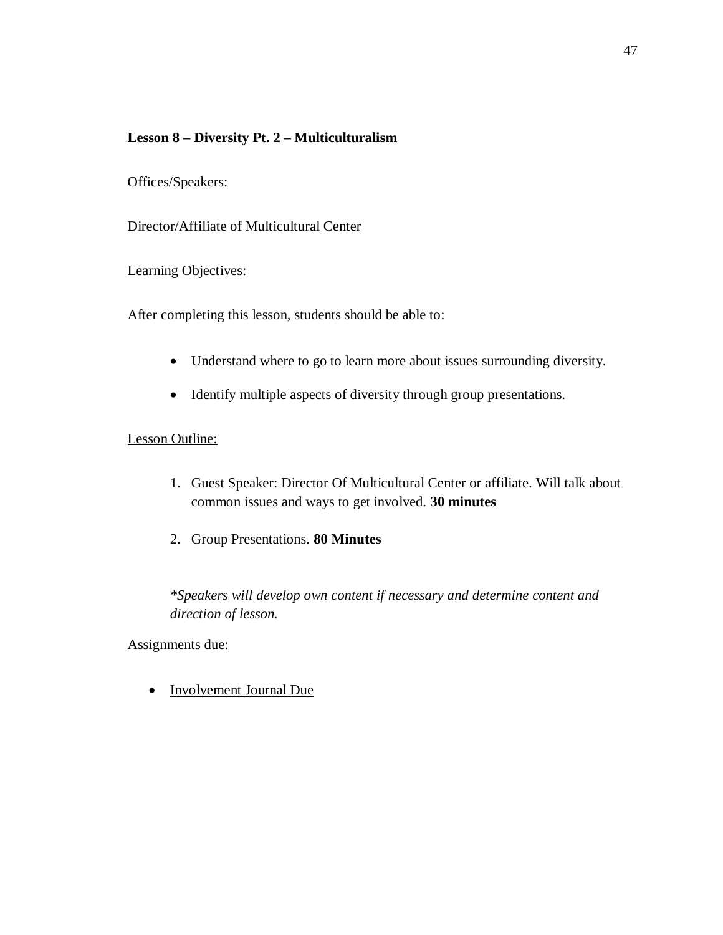# **Lesson 8 – Diversity Pt. 2 – Multiculturalism**

### Offices/Speakers:

Director/Affiliate of Multicultural Center

#### Learning Objectives:

After completing this lesson, students should be able to:

- Understand where to go to learn more about issues surrounding diversity.
- Identify multiple aspects of diversity through group presentations.

#### Lesson Outline:

- 1. Guest Speaker: Director Of Multicultural Center or affiliate. Will talk about common issues and ways to get involved. **30 minutes**
- 2. Group Presentations. **80 Minutes**

*\*Speakers will develop own content if necessary and determine content and direction of lesson.*

#### Assignments due:

• Involvement Journal Due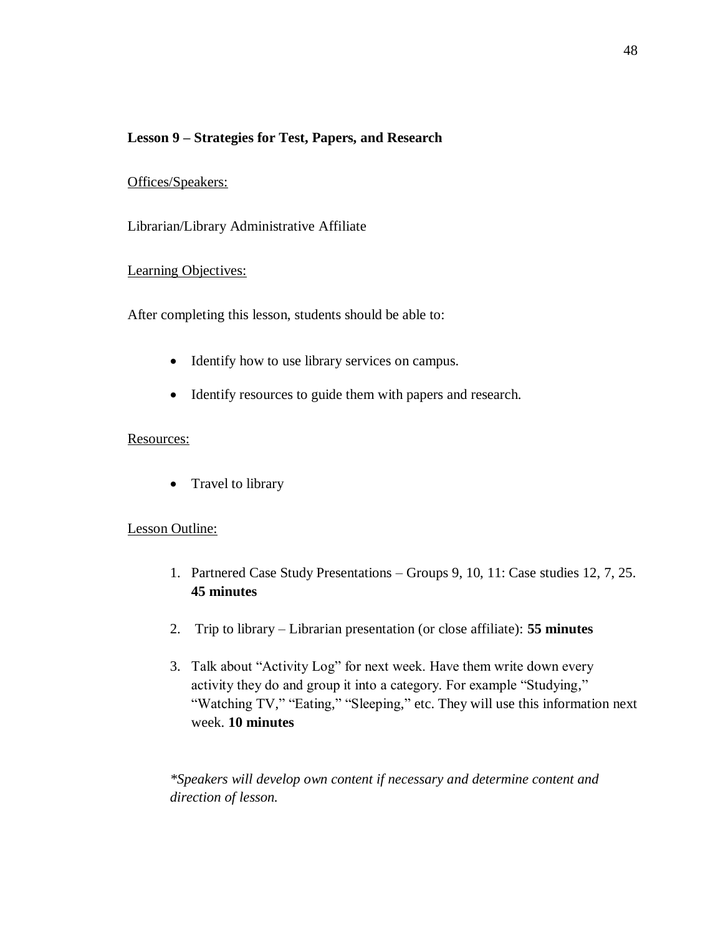## **Lesson 9 – Strategies for Test, Papers, and Research**

## Offices/Speakers:

Librarian/Library Administrative Affiliate

### Learning Objectives:

After completing this lesson, students should be able to:

- Identify how to use library services on campus.
- Identify resources to guide them with papers and research.

#### Resources:

• Travel to library

## Lesson Outline:

- 1. Partnered Case Study Presentations Groups 9, 10, 11: Case studies 12, 7, 25. **45 minutes**
- 2. Trip to library Librarian presentation (or close affiliate): **55 minutes**
- 3. Talk about "Activity Log" for next week. Have them write down every activity they do and group it into a category. For example "Studying," "Watching TV," "Eating," "Sleeping," etc. They will use this information next week. **10 minutes**

*\*Speakers will develop own content if necessary and determine content and direction of lesson.*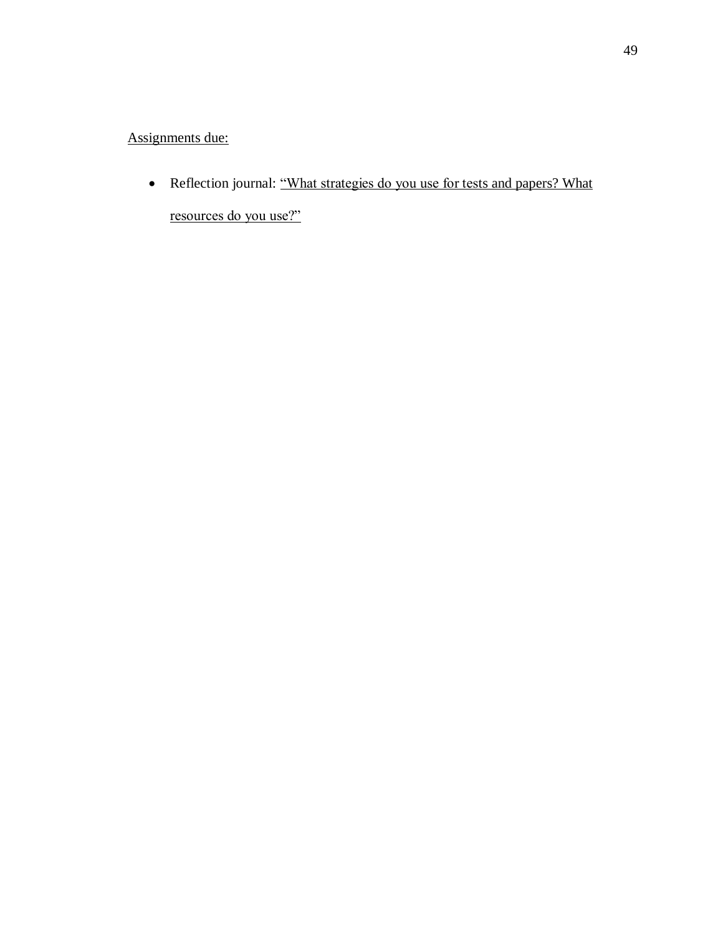# Assignments due:

• Reflection journal: "What strategies do you use for tests and papers? What

resources do you use?"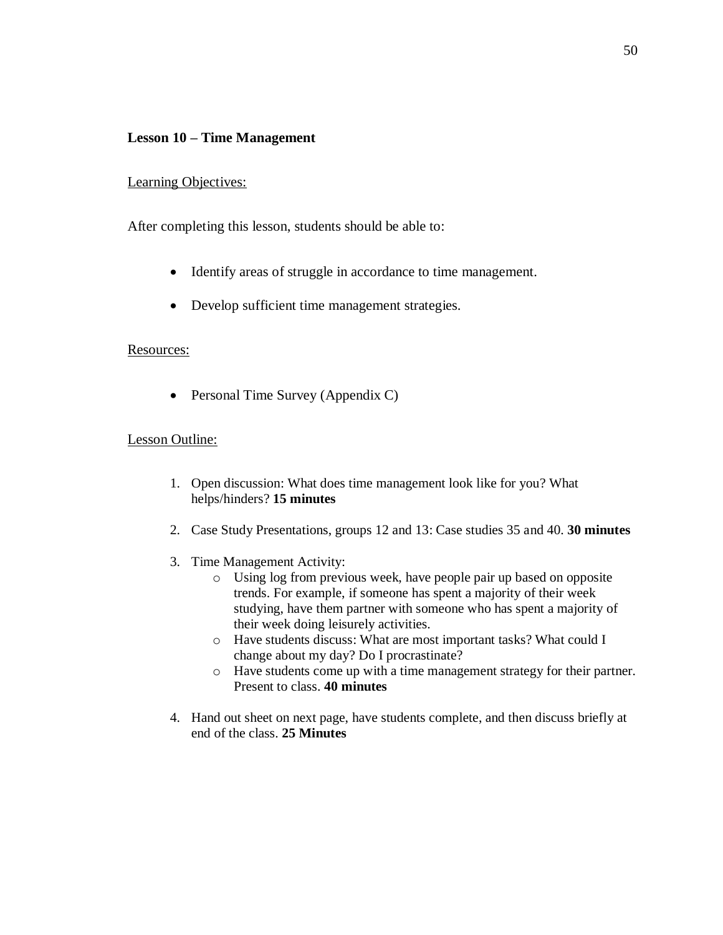#### **Lesson 10 – Time Management**

#### Learning Objectives:

After completing this lesson, students should be able to:

- Identify areas of struggle in accordance to time management.
- Develop sufficient time management strategies.

#### Resources:

• Personal Time Survey (Appendix C)

#### Lesson Outline:

- 1. Open discussion: What does time management look like for you? What helps/hinders? **15 minutes**
- 2. Case Study Presentations, groups 12 and 13: Case studies 35 and 40. **30 minutes**
- 3. Time Management Activity:
	- o Using log from previous week, have people pair up based on opposite trends. For example, if someone has spent a majority of their week studying, have them partner with someone who has spent a majority of their week doing leisurely activities.
	- o Have students discuss: What are most important tasks? What could I change about my day? Do I procrastinate?
	- o Have students come up with a time management strategy for their partner. Present to class. **40 minutes**
- 4. Hand out sheet on next page, have students complete, and then discuss briefly at end of the class. **25 Minutes**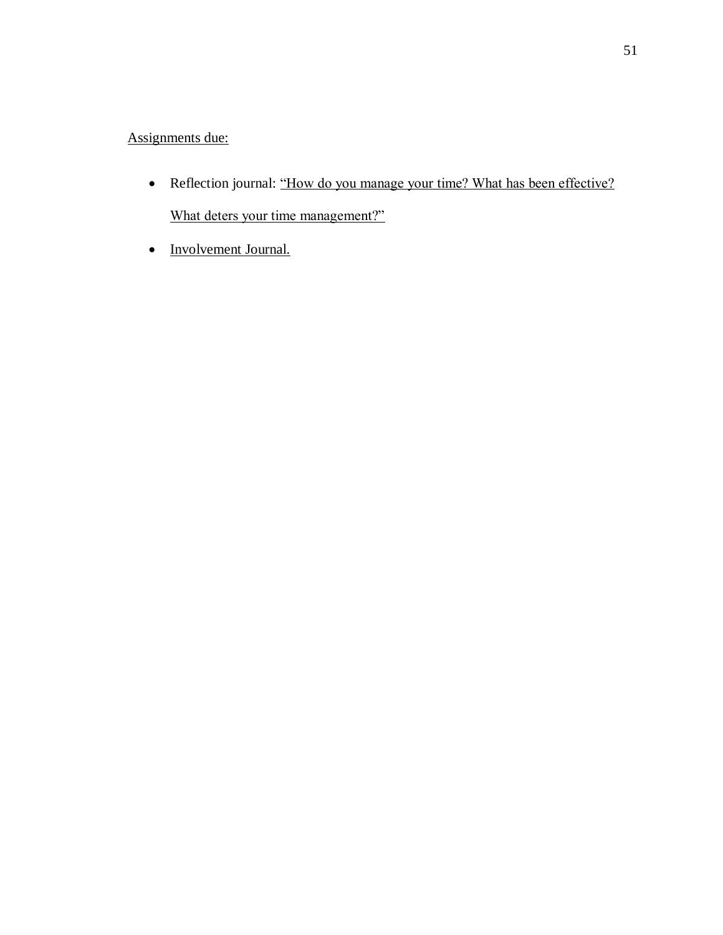# Assignments due:

- Reflection journal: "How do you manage your time? What has been effective? What deters your time management?"
- Involvement Journal.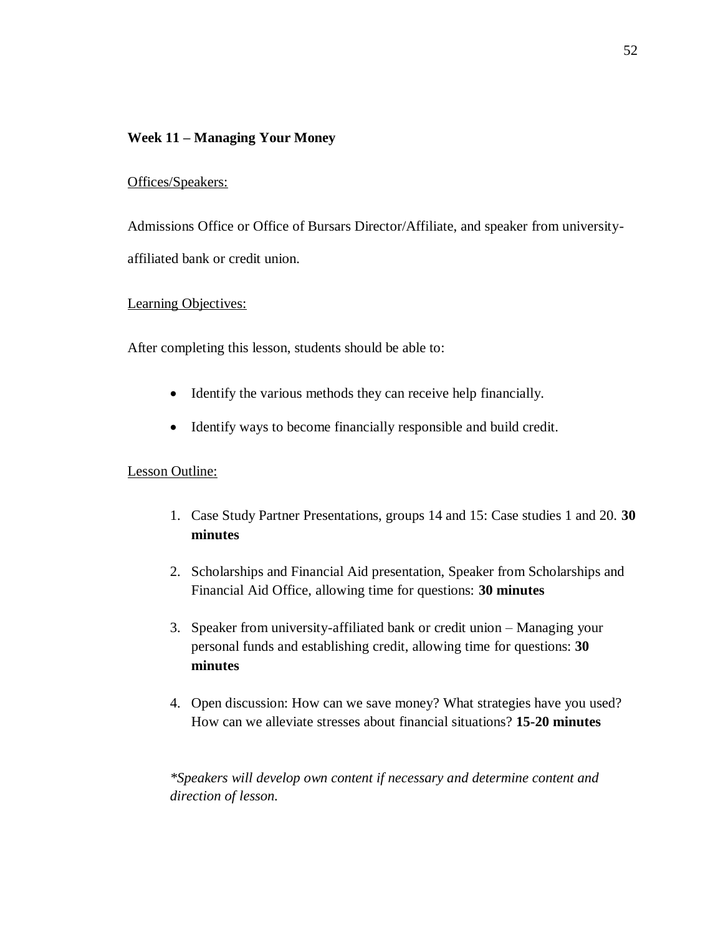## **Week 11 – Managing Your Money**

#### Offices/Speakers:

Admissions Office or Office of Bursars Director/Affiliate, and speaker from universityaffiliated bank or credit union.

#### Learning Objectives:

After completing this lesson, students should be able to:

- Identify the various methods they can receive help financially.
- Identify ways to become financially responsible and build credit.

#### Lesson Outline:

- 1. Case Study Partner Presentations, groups 14 and 15: Case studies 1 and 20. **30 minutes**
- 2. Scholarships and Financial Aid presentation, Speaker from Scholarships and Financial Aid Office, allowing time for questions: **30 minutes**
- 3. Speaker from university-affiliated bank or credit union Managing your personal funds and establishing credit, allowing time for questions: **30 minutes**
- 4. Open discussion: How can we save money? What strategies have you used? How can we alleviate stresses about financial situations? **15-20 minutes**

*\*Speakers will develop own content if necessary and determine content and direction of lesson.*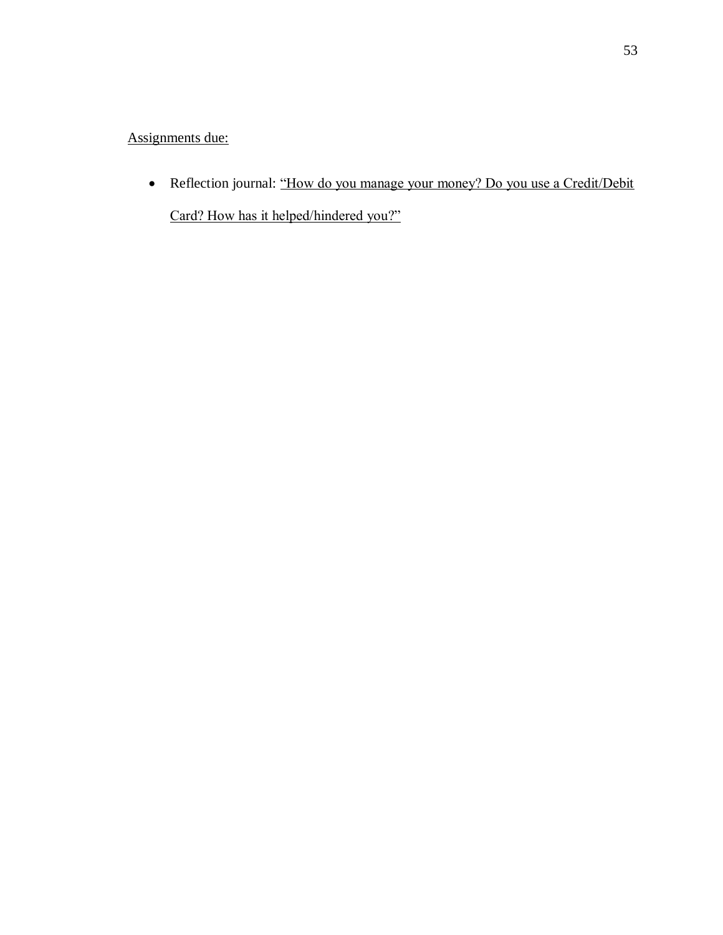# Assignments due:

• Reflection journal: "How do you manage your money? Do you use a Credit/Debit

Card? How has it helped/hindered you?"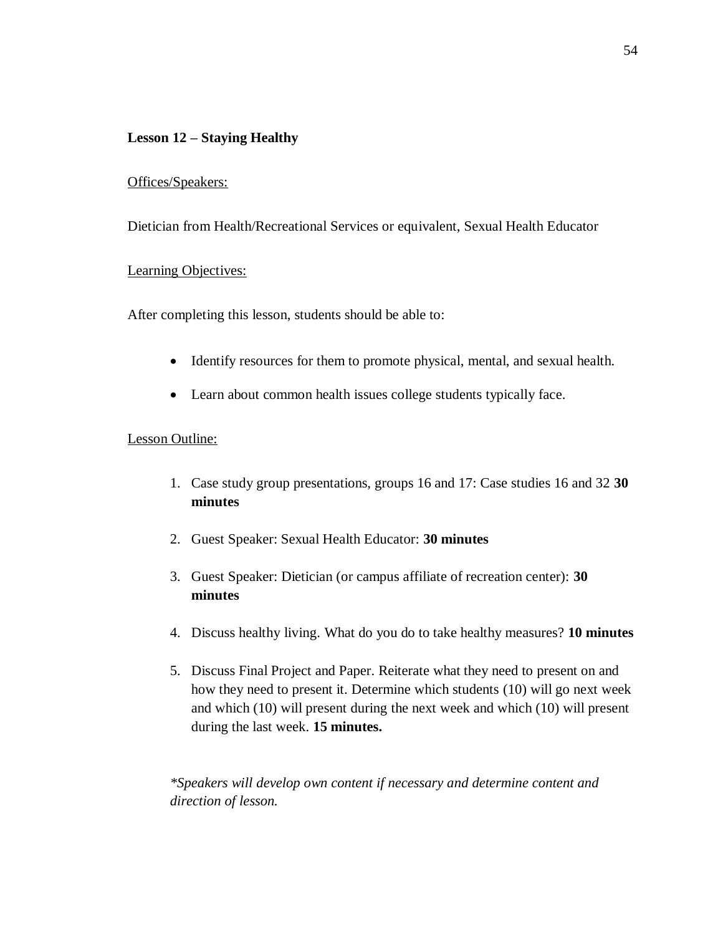## **Lesson 12 – Staying Healthy**

### Offices/Speakers:

Dietician from Health/Recreational Services or equivalent, Sexual Health Educator

#### Learning Objectives:

After completing this lesson, students should be able to:

- Identify resources for them to promote physical, mental, and sexual health.
- Learn about common health issues college students typically face.

#### Lesson Outline:

- 1. Case study group presentations, groups 16 and 17: Case studies 16 and 32 **30 minutes**
- 2. Guest Speaker: Sexual Health Educator: **30 minutes**
- 3. Guest Speaker: Dietician (or campus affiliate of recreation center): **30 minutes**
- 4. Discuss healthy living. What do you do to take healthy measures? **10 minutes**
- 5. Discuss Final Project and Paper. Reiterate what they need to present on and how they need to present it. Determine which students (10) will go next week and which (10) will present during the next week and which (10) will present during the last week. **15 minutes.**

*\*Speakers will develop own content if necessary and determine content and direction of lesson.*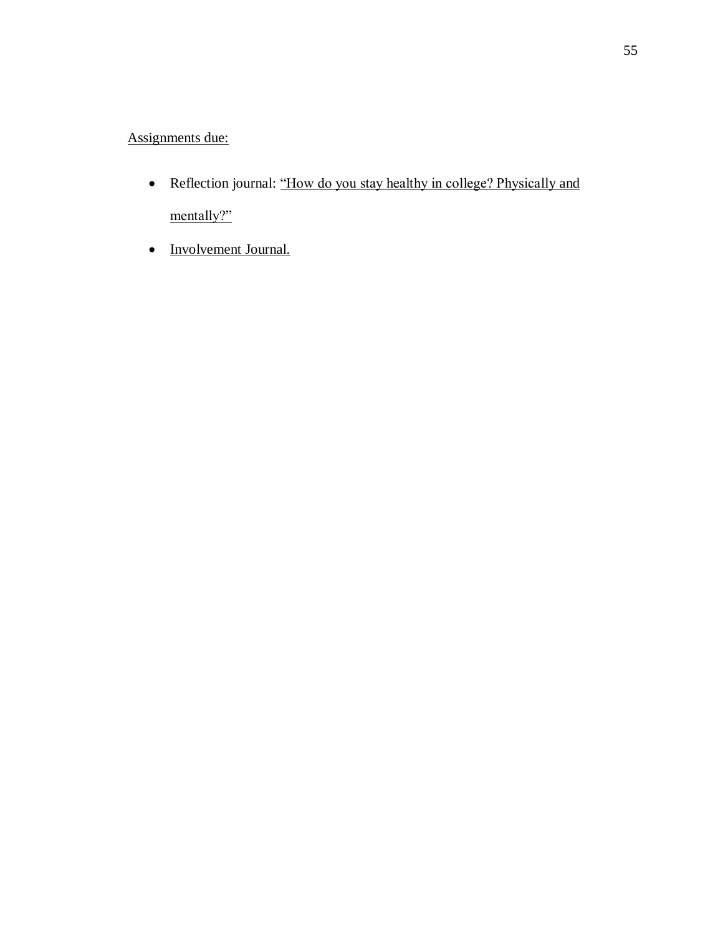# Assignments due:

- Reflection journal: "How do you stay healthy in college? Physically and mentally?"
- Involvement Journal.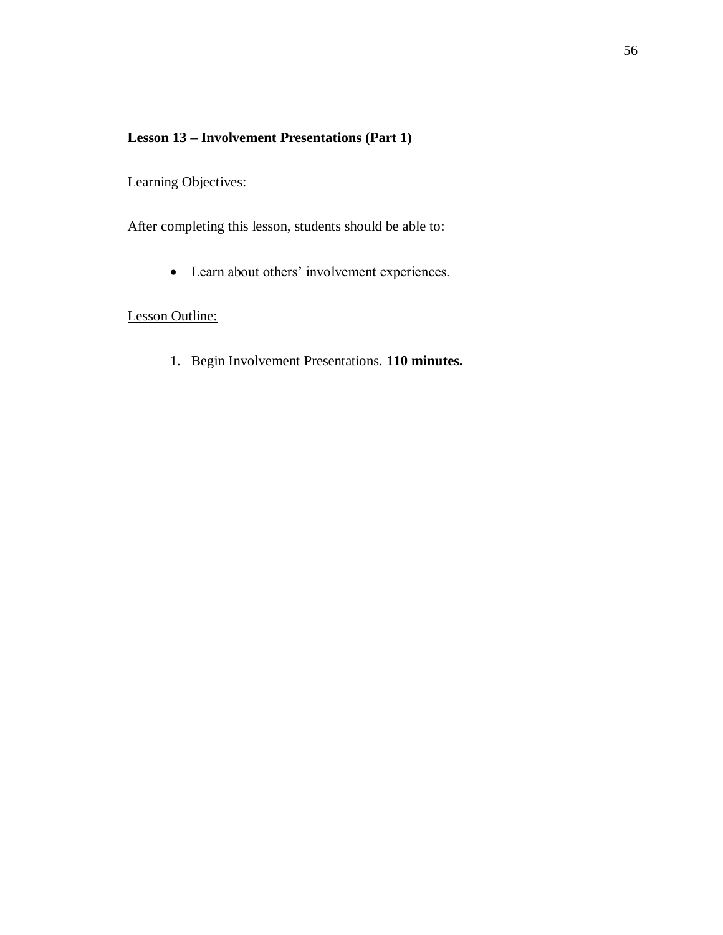# **Lesson 13 – Involvement Presentations (Part 1)**

# Learning Objectives:

After completing this lesson, students should be able to:

Learn about others' involvement experiences.

# Lesson Outline:

1. Begin Involvement Presentations. **110 minutes.**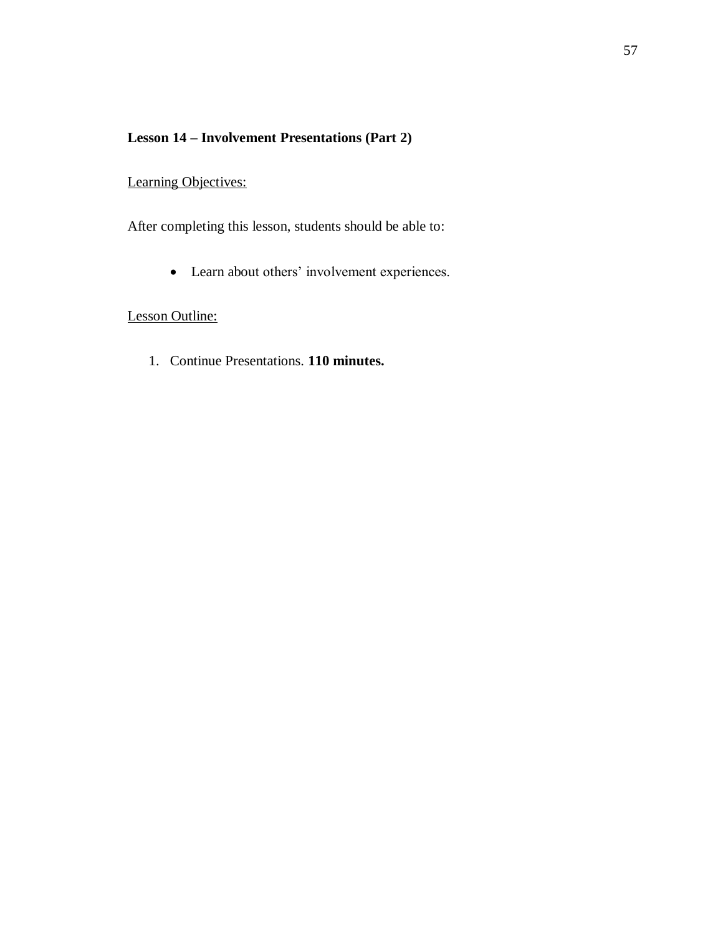# **Lesson 14 – Involvement Presentations (Part 2)**

# Learning Objectives:

After completing this lesson, students should be able to:

Learn about others' involvement experiences.

# Lesson Outline:

1. Continue Presentations. **110 minutes.**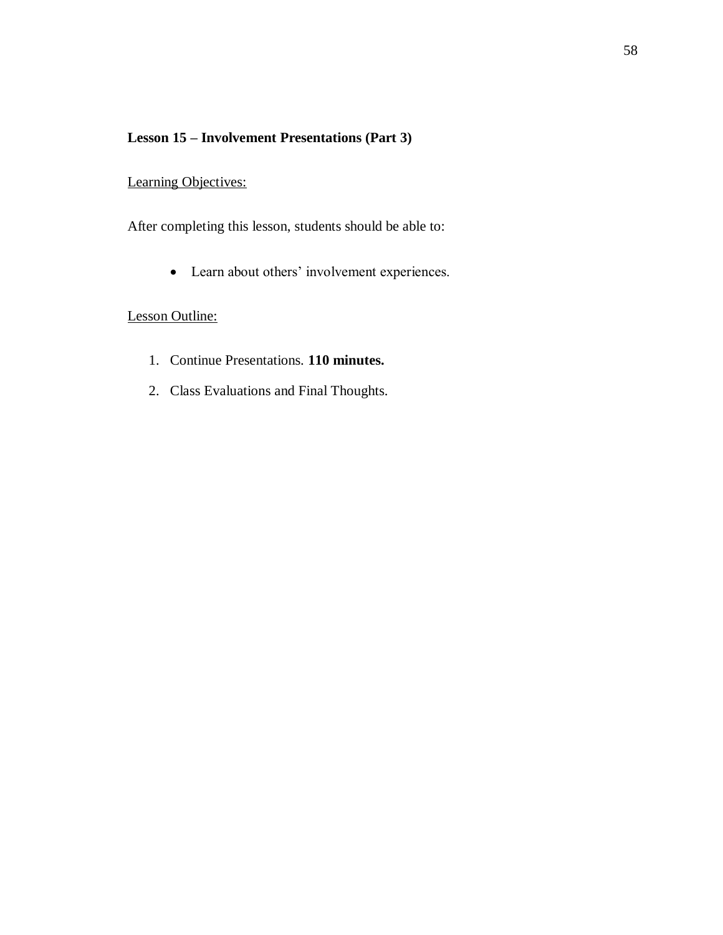# **Lesson 15 – Involvement Presentations (Part 3)**

## Learning Objectives:

After completing this lesson, students should be able to:

Learn about others' involvement experiences.

## Lesson Outline:

- 1. Continue Presentations. **110 minutes.**
- 2. Class Evaluations and Final Thoughts.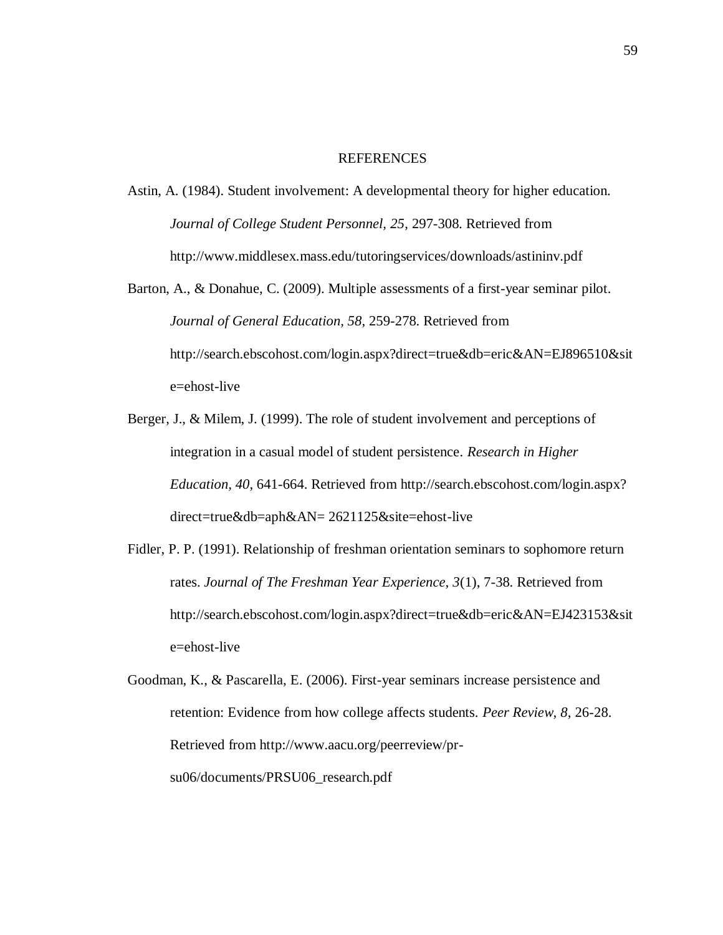#### **REFERENCES**

- Astin, A. (1984). Student involvement: A developmental theory for higher education. *Journal of College Student Personnel, 25*, 297-308. Retrieved from http://www.middlesex.mass.edu/tutoringservices/downloads/astininv.pdf
- Barton, A., & Donahue, C. (2009). Multiple assessments of a first-year seminar pilot. *Journal of General Education, 58*, 259-278. Retrieved from http://search.ebscohost.com/login.aspx?direct=true&db=eric&AN=EJ896510&sit e=ehost-live
- Berger, J., & Milem, J. (1999). The role of student involvement and perceptions of integration in a casual model of student persistence. *Research in Higher Education, 40*, 641-664. Retrieved from http://search.ebscohost.com/login.aspx? direct=true&db=aph&AN= 2621125&site=ehost-live
- Fidler, P. P. (1991). Relationship of freshman orientation seminars to sophomore return rates. *Journal of The Freshman Year Experience, 3*(1), 7-38. Retrieved from http://search.ebscohost.com/login.aspx?direct=true&db=eric&AN=EJ423153&sit e=ehost-live
- Goodman, K., & Pascarella, E. (2006). First-year seminars increase persistence and retention: Evidence from how college affects students. *Peer Review, 8*, 26-28. Retrieved from http://www.aacu.org/peerreview/prsu06/documents/PRSU06\_research.pdf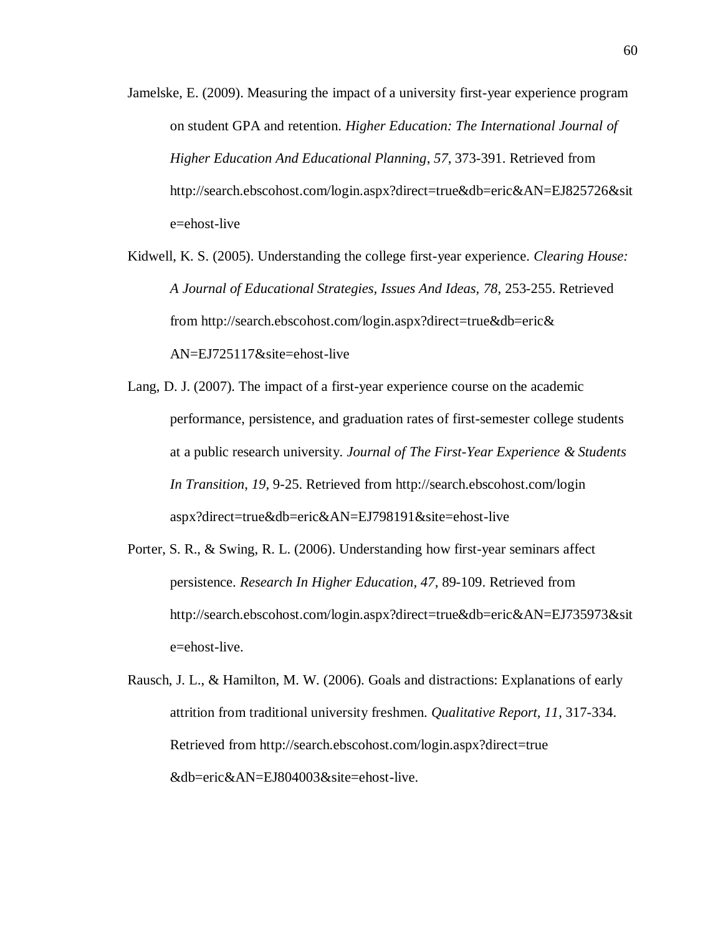- Jamelske, E. (2009). Measuring the impact of a university first-year experience program on student GPA and retention. *Higher Education: The International Journal of Higher Education And Educational Planning*, *57*, 373-391. Retrieved from http://search.ebscohost.com/login.aspx?direct=true&db=eric&AN=EJ825726&sit e=ehost-live
- Kidwell, K. S. (2005). Understanding the college first-year experience. *Clearing House: A Journal of Educational Strategies, Issues And Ideas, 78*, 253-255. Retrieved from http://search.ebscohost.com/login.aspx?direct=true&db=eric& AN=EJ725117&site=ehost-live
- Lang, D. J. (2007). The impact of a first-year experience course on the academic performance, persistence, and graduation rates of first-semester college students at a public research university. *Journal of The First-Year Experience & Students In Transition*, *19*, 9-25. Retrieved from http://search.ebscohost.com/login aspx?direct=true&db=eric&AN=EJ798191&site=ehost-live
- Porter, S. R., & Swing, R. L. (2006). Understanding how first-year seminars affect persistence. *Research In Higher Education, 47*, 89-109. Retrieved from http://search.ebscohost.com/login.aspx?direct=true&db=eric&AN=EJ735973&sit e=ehost-live.
- Rausch, J. L., & Hamilton, M. W. (2006). Goals and distractions: Explanations of early attrition from traditional university freshmen. *Qualitative Report, 11*, 317-334. Retrieved from http://search.ebscohost.com/login.aspx?direct=true &db=eric&AN=EJ804003&site=ehost-live.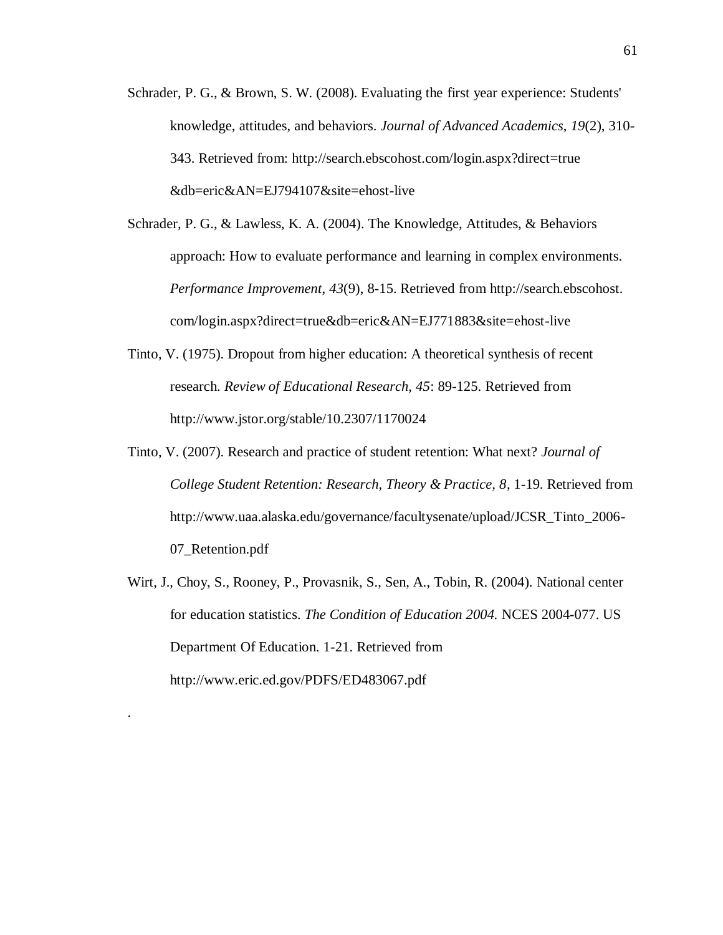- Schrader, P. G., & Brown, S. W. (2008). Evaluating the first year experience: Students' knowledge, attitudes, and behaviors. *Journal of Advanced Academics*, *19*(2), 310- 343. Retrieved from: http://search.ebscohost.com/login.aspx?direct=true &db=eric&AN=EJ794107&site=ehost-live
- Schrader, P. G., & Lawless, K. A. (2004). The Knowledge, Attitudes, & Behaviors approach: How to evaluate performance and learning in complex environments. *Performance Improvement*, *43*(9), 8-15. Retrieved from http://search.ebscohost. com/login.aspx?direct=true&db=eric&AN=EJ771883&site=ehost-live
- Tinto, V. (1975). Dropout from higher education: A theoretical synthesis of recent research. *Review of Educational Research, 45*: 89-125. Retrieved from http://www.jstor.org/stable/10.2307/1170024
- Tinto, V. (2007). Research and practice of student retention: What next? *Journal of College Student Retention: Research, Theory & Practice, 8*, 1-19. Retrieved from http://www.uaa.alaska.edu/governance/facultysenate/upload/JCSR\_Tinto\_2006- 07\_Retention.pdf
- Wirt, J., Choy, S., Rooney, P., Provasnik, S., Sen, A., Tobin, R. (2004). National center for education statistics. *The Condition of Education 2004.* NCES 2004-077. US Department Of Education. 1-21. Retrieved from http://www.eric.ed.gov/PDFS/ED483067.pdf

.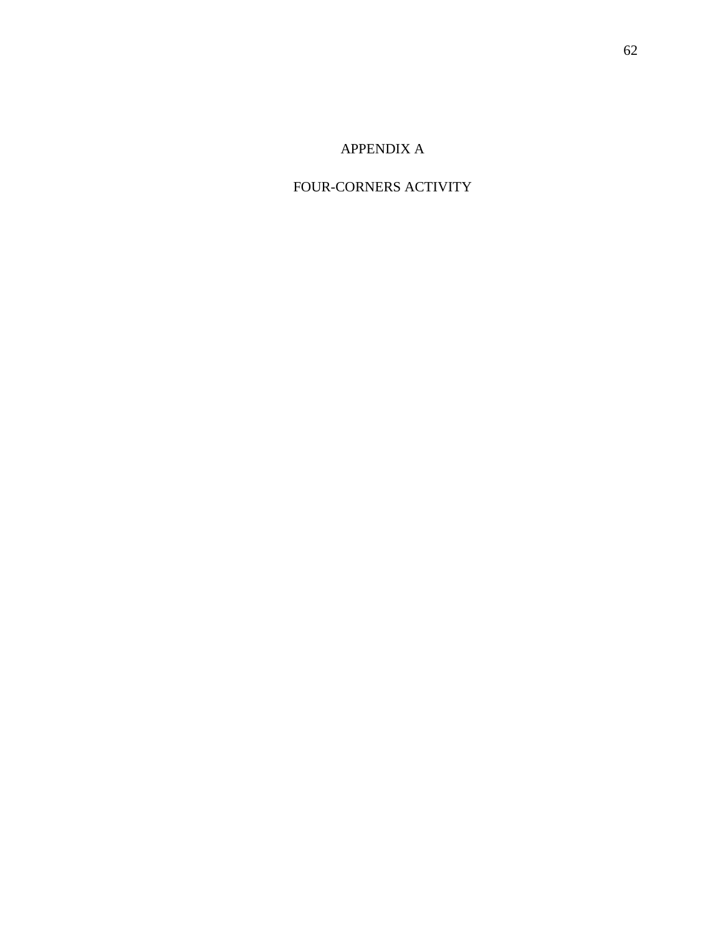# APPENDIX A

# FOUR-CORNERS ACTIVITY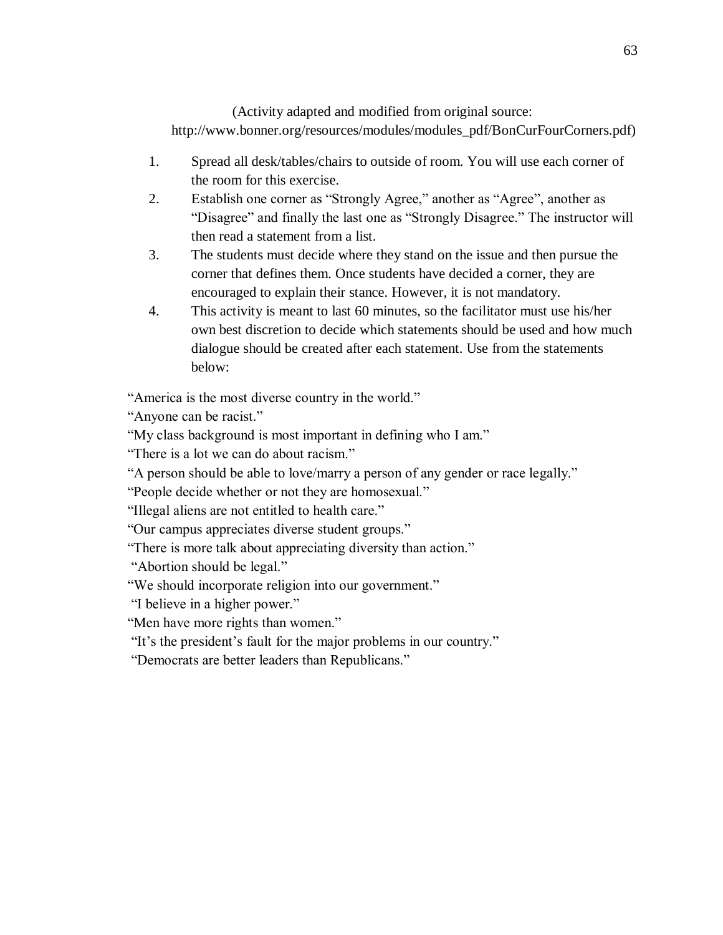(Activity adapted and modified from original source: http://www.bonner.org/resources/modules/modules\_pdf/BonCurFourCorners.pdf)

- 1. Spread all desk/tables/chairs to outside of room. You will use each corner of the room for this exercise.
- 2. Establish one corner as "Strongly Agree," another as "Agree", another as "Disagree" and finally the last one as "Strongly Disagree." The instructor will then read a statement from a list.
- 3. The students must decide where they stand on the issue and then pursue the corner that defines them. Once students have decided a corner, they are encouraged to explain their stance. However, it is not mandatory.
- 4. This activity is meant to last 60 minutes, so the facilitator must use his/her own best discretion to decide which statements should be used and how much dialogue should be created after each statement. Use from the statements below:

"America is the most diverse country in the world."

"Anyone can be racist."

"My class background is most important in defining who I am."

"There is a lot we can do about racism."

"A person should be able to love/marry a person of any gender or race legally."

"People decide whether or not they are homosexual."

"Illegal aliens are not entitled to health care."

"Our campus appreciates diverse student groups."

"There is more talk about appreciating diversity than action."

"Abortion should be legal."

"We should incorporate religion into our government."

"I believe in a higher power."

"Men have more rights than women."

"It's the president's fault for the major problems in our country."

"Democrats are better leaders than Republicans."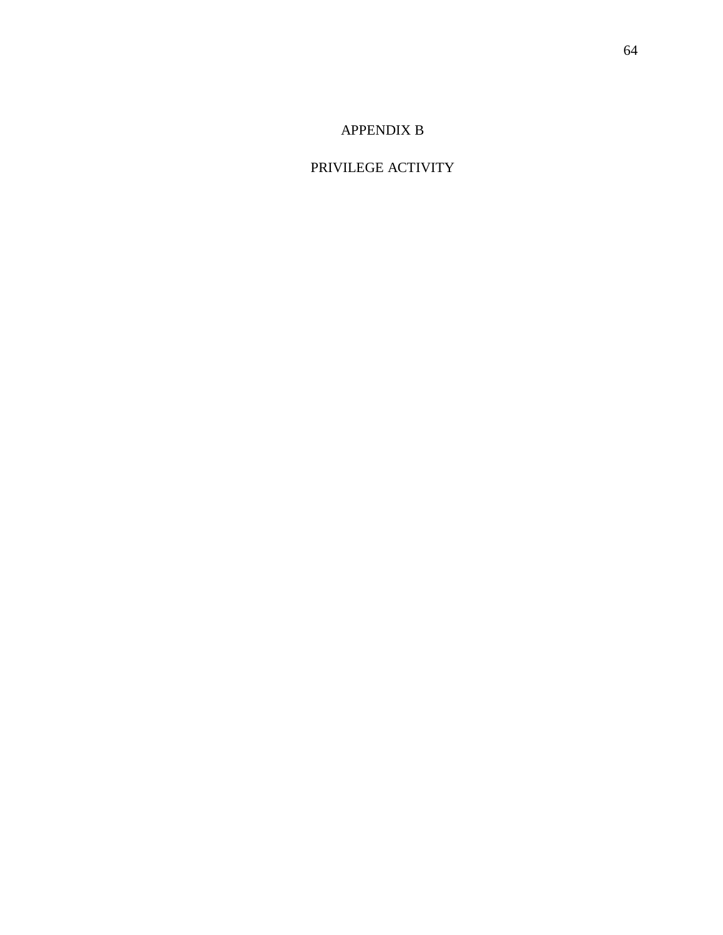# APPENDIX B

# PRIVILEGE ACTIVITY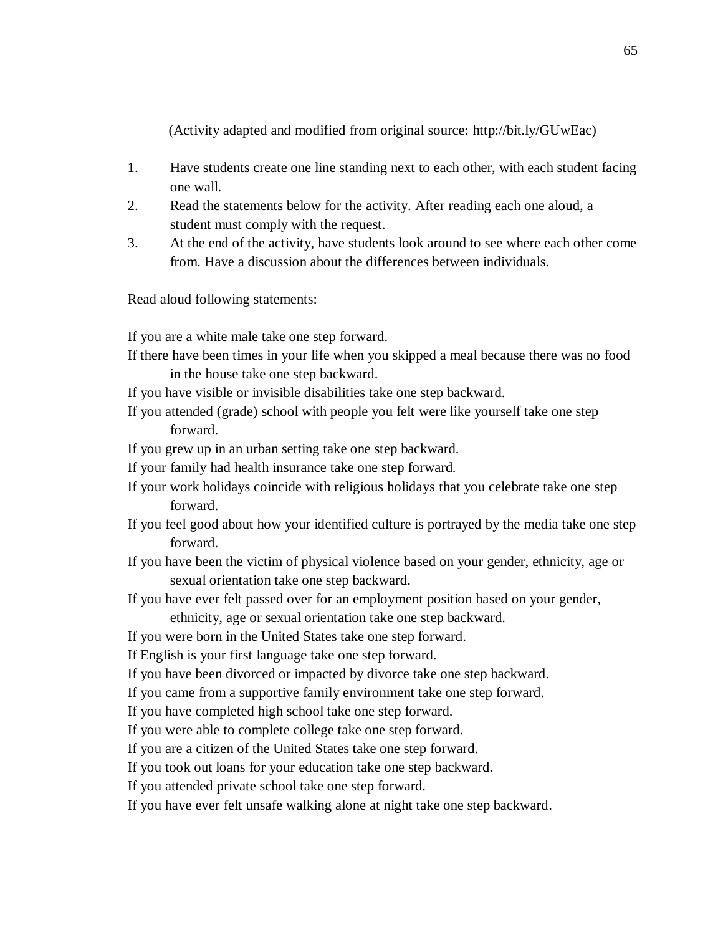(Activity adapted and modified from original source: http://bit.ly/GUwEac)

- 1. Have students create one line standing next to each other, with each student facing one wall.
- 2. Read the statements below for the activity. After reading each one aloud, a student must comply with the request.
- 3. At the end of the activity, have students look around to see where each other come from. Have a discussion about the differences between individuals.

Read aloud following statements:

If you are a white male take one step forward.

- If there have been times in your life when you skipped a meal because there was no food in the house take one step backward.
- If you have visible or invisible disabilities take one step backward.
- If you attended (grade) school with people you felt were like yourself take one step forward.
- If you grew up in an urban setting take one step backward.
- If your family had health insurance take one step forward.
- If your work holidays coincide with religious holidays that you celebrate take one step forward.
- If you feel good about how your identified culture is portrayed by the media take one step forward.
- If you have been the victim of physical violence based on your gender, ethnicity, age or sexual orientation take one step backward.
- If you have ever felt passed over for an employment position based on your gender, ethnicity, age or sexual orientation take one step backward.
- If you were born in the United States take one step forward.
- If English is your first language take one step forward.
- If you have been divorced or impacted by divorce take one step backward.
- If you came from a supportive family environment take one step forward.
- If you have completed high school take one step forward.
- If you were able to complete college take one step forward.
- If you are a citizen of the United States take one step forward.
- If you took out loans for your education take one step backward.
- If you attended private school take one step forward.
- If you have ever felt unsafe walking alone at night take one step backward.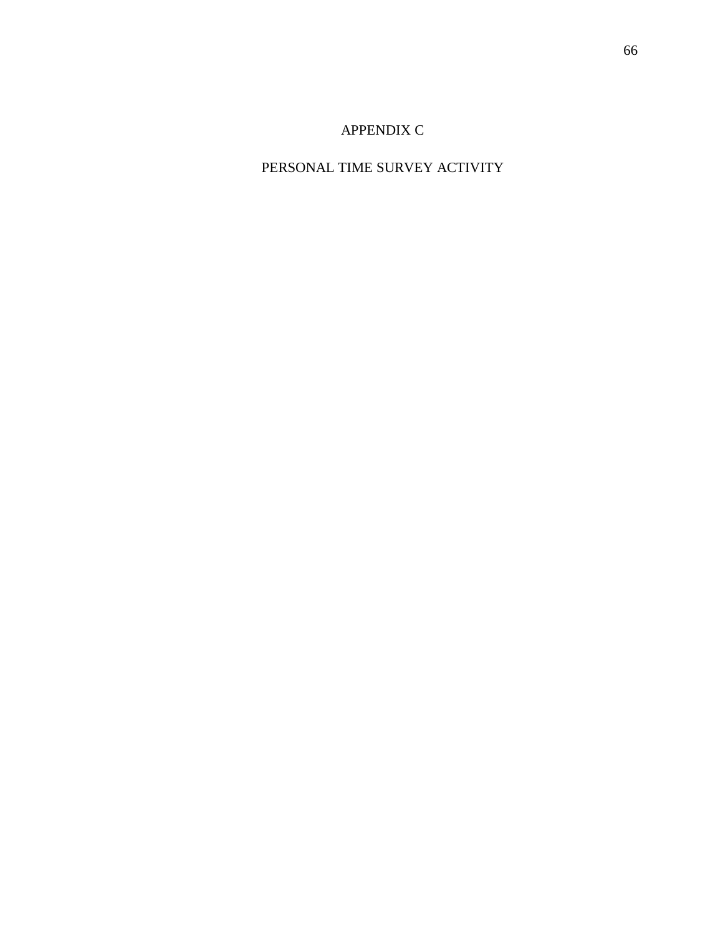# APPENDIX C

# PERSONAL TIME SURVEY ACTIVITY